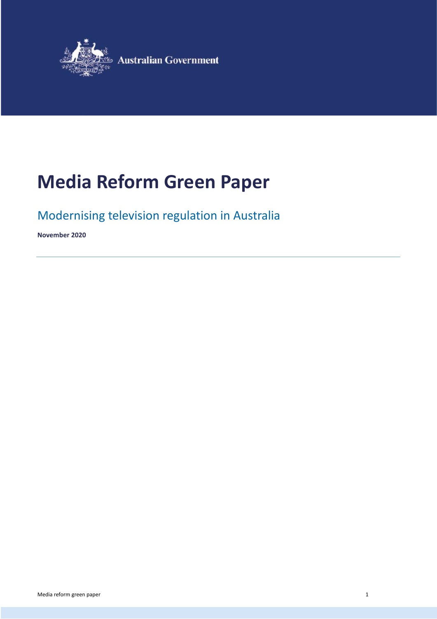

# **Media Reform Green Paper**

# Modernising television regulation in Australia

**November 2020**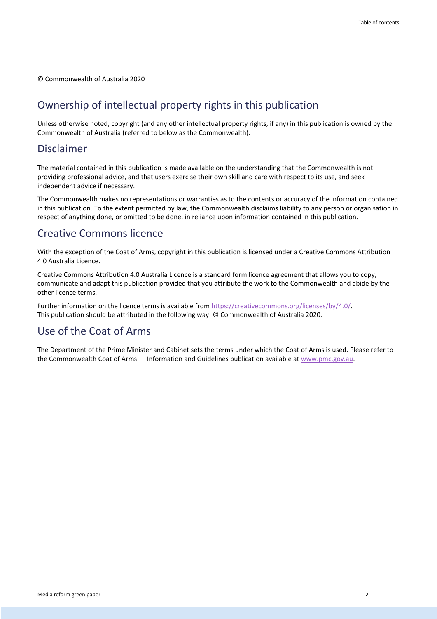© Commonwealth of Australia 2020

### Ownership of intellectual property rights in this publication

Unless otherwise noted, copyright (and any other intellectual property rights, if any) in this publication is owned by the Commonwealth of Australia (referred to below as the Commonwealth).

#### Disclaimer

The material contained in this publication is made available on the understanding that the Commonwealth is not providing professional advice, and that users exercise their own skill and care with respect to its use, and seek independent advice if necessary.

The Commonwealth makes no representations or warranties as to the contents or accuracy of the information contained in this publication. To the extent permitted by law, the Commonwealth disclaims liability to any person or organisation in respect of anything done, or omitted to be done, in reliance upon information contained in this publication.

#### Creative Commons licence

With the exception of the Coat of Arms, copyright in this publication is licensed under a Creative Commons Attribution 4.0 Australia Licence.

Creative Commons Attribution 4.0 Australia Licence is a standard form licence agreement that allows you to copy, communicate and adapt this publication provided that you attribute the work to the Commonwealth and abide by the other licence terms.

Further information on the licence terms is available from [https://creativecommons.org/licenses/by/4.0/.](https://creativecommons.org/licenses/by/4.0/) This publication should be attributed in the following way: © Commonwealth of Australia 2020.

#### Use of the Coat of Arms

The Department of the Prime Minister and Cabinet sets the terms under which the Coat of Arms is used. Please refer to the Commonwealth Coat of Arms — Information and Guidelines publication available at [www.pmc.gov.au.](http://www.pmc.gov.au/)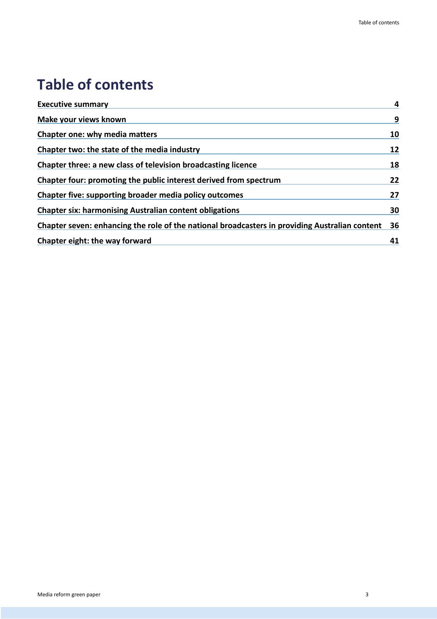# **Table of contents**

| <b>Executive summary</b>                                                                       | 4  |
|------------------------------------------------------------------------------------------------|----|
| Make your views known                                                                          | 9  |
| Chapter one: why media matters                                                                 | 10 |
| Chapter two: the state of the media industry                                                   | 12 |
| Chapter three: a new class of television broadcasting licence                                  | 18 |
| Chapter four: promoting the public interest derived from spectrum                              | 22 |
| <b>Chapter five: supporting broader media policy outcomes</b>                                  | 27 |
| <b>Chapter six: harmonising Australian content obligations</b>                                 | 30 |
| Chapter seven: enhancing the role of the national broadcasters in providing Australian content | 36 |
| Chapter eight: the way forward                                                                 | 41 |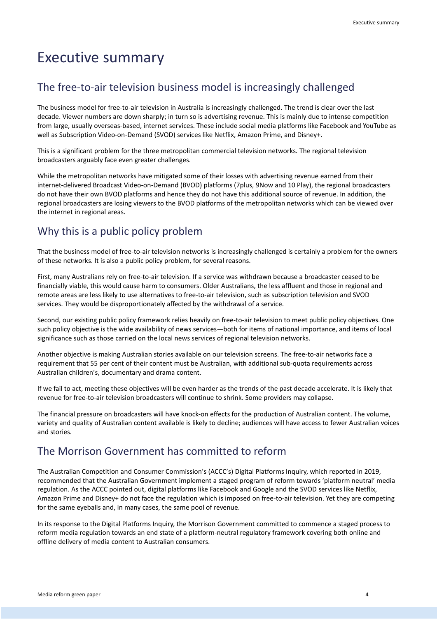# <span id="page-3-0"></span>Executive summary

## The free-to-air television business model is increasingly challenged

The business model for free-to-air television in Australia is increasingly challenged. The trend is clear over the last decade. Viewer numbers are down sharply; in turn so is advertising revenue. This is mainly due to intense competition from large, usually overseas-based, internet services. These include social media platforms like Facebook and YouTube as well as Subscription Video-on-Demand (SVOD) services like Netflix, Amazon Prime, and Disney+.

This is a significant problem for the three metropolitan commercial television networks. The regional television broadcasters arguably face even greater challenges.

While the metropolitan networks have mitigated some of their losses with advertising revenue earned from their internet-delivered Broadcast Video-on-Demand (BVOD) platforms (7plus, 9Now and 10 Play), the regional broadcasters do not have their own BVOD platforms and hence they do not have this additional source of revenue. In addition, the regional broadcasters are losing viewers to the BVOD platforms of the metropolitan networks which can be viewed over the internet in regional areas.

## Why this is a public policy problem

That the business model of free-to-air television networks is increasingly challenged is certainly a problem for the owners of these networks. It is also a public policy problem, for several reasons.

First, many Australians rely on free-to-air television. If a service was withdrawn because a broadcaster ceased to be financially viable, this would cause harm to consumers. Older Australians, the less affluent and those in regional and remote areas are less likely to use alternatives to free-to-air television, such as subscription television and SVOD services. They would be disproportionately affected by the withdrawal of a service.

Second, our existing public policy framework relies heavily on free-to-air television to meet public policy objectives. One such policy objective is the wide availability of news services—both for items of national importance, and items of local significance such as those carried on the local news services of regional television networks.

Another objective is making Australian stories available on our television screens. The free-to-air networks face a requirement that 55 per cent of their content must be Australian, with additional sub-quota requirements across Australian children's, documentary and drama content.

If we fail to act, meeting these objectives will be even harder as the trends of the past decade accelerate. It is likely that revenue for free-to-air television broadcasters will continue to shrink. Some providers may collapse.

The financial pressure on broadcasters will have knock-on effects for the production of Australian content. The volume, variety and quality of Australian content available is likely to decline; audiences will have access to fewer Australian voices and stories.

## The Morrison Government has committed to reform

The Australian Competition and Consumer Commission's (ACCC's) Digital Platforms Inquiry, which reported in 2019, recommended that the Australian Government implement a staged program of reform towards 'platform neutral' media regulation. As the ACCC pointed out, digital platforms like Facebook and Google and the SVOD services like Netflix, Amazon Prime and Disney+ do not face the regulation which is imposed on free-to-air television. Yet they are competing for the same eyeballs and, in many cases, the same pool of revenue.

In its response to the Digital Platforms Inquiry, the Morrison Government committed to commence a staged process to reform media regulation towards an end state of a platform-neutral regulatory framework covering both online and offline delivery of media content to Australian consumers.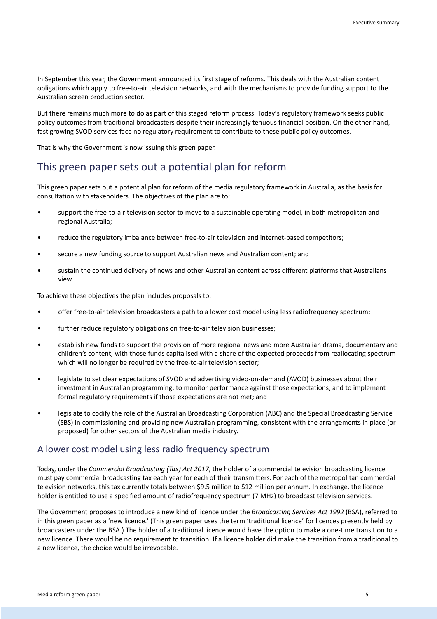In September this year, the Government announced its first stage of reforms. This deals with the Australian content obligations which apply to free-to-air television networks, and with the mechanisms to provide funding support to the Australian screen production sector.

But there remains much more to do as part of this staged reform process. Today's regulatory framework seeks public policy outcomes from traditional broadcasters despite their increasingly tenuous financial position. On the other hand, fast growing SVOD services face no regulatory requirement to contribute to these public policy outcomes.

That is why the Government is now issuing this green paper.

### This green paper sets out a potential plan for reform

This green paper sets out a potential plan for reform of the media regulatory framework in Australia, as the basis for consultation with stakeholders. The objectives of the plan are to:

- support the free-to-air television sector to move to a sustainable operating model, in both metropolitan and regional Australia;
- reduce the regulatory imbalance between free-to-air television and internet-based competitors;
- secure a new funding source to support Australian news and Australian content; and
- sustain the continued delivery of news and other Australian content across different platforms that Australians view.

To achieve these objectives the plan includes proposals to:

- offer free-to-air television broadcasters a path to a lower cost model using less radiofrequency spectrum;
- further reduce regulatory obligations on free-to-air television businesses;
- establish new funds to support the provision of more regional news and more Australian drama, documentary and children's content, with those funds capitalised with a share of the expected proceeds from reallocating spectrum which will no longer be required by the free-to-air television sector;
- legislate to set clear expectations of SVOD and advertising video-on-demand (AVOD) businesses about their investment in Australian programming; to monitor performance against those expectations; and to implement formal regulatory requirements if those expectations are not met; and
- legislate to codify the role of the Australian Broadcasting Corporation (ABC) and the Special Broadcasting Service (SBS) in commissioning and providing new Australian programming, consistent with the arrangements in place (or proposed) for other sectors of the Australian media industry.

#### A lower cost model using less radio frequency spectrum

Today, under the *Commercial Broadcasting (Tax) Act 2017*, the holder of a commercial television broadcasting licence must pay commercial broadcasting tax each year for each of their transmitters. For each of the metropolitan commercial television networks, this tax currently totals between \$9.5 million to \$12 million per annum. In exchange, the licence holder is entitled to use a specified amount of radiofrequency spectrum (7 MHz) to broadcast television services.

The Government proposes to introduce a new kind of licence under the *Broadcasting Services Act 1992* (BSA), referred to in this green paper as a 'new licence.' (This green paper uses the term 'traditional licence' for licences presently held by broadcasters under the BSA.) The holder of a traditional licence would have the option to make a one-time transition to a new licence. There would be no requirement to transition. If a licence holder did make the transition from a traditional to a new licence, the choice would be irrevocable.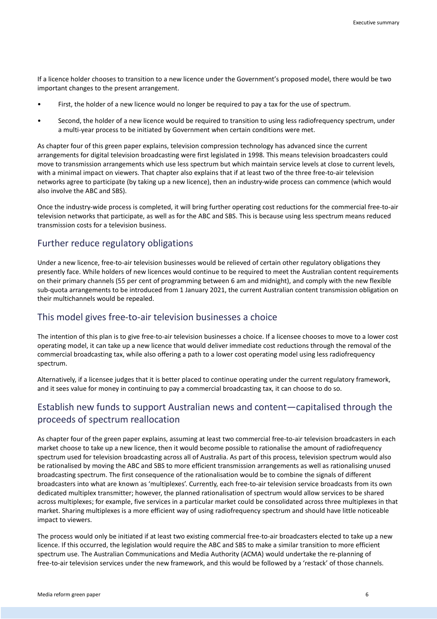If a licence holder chooses to transition to a new licence under the Government's proposed model, there would be two important changes to the present arrangement.

- First, the holder of a new licence would no longer be required to pay a tax for the use of spectrum.
- Second, the holder of a new licence would be required to transition to using less radiofrequency spectrum, under a multi-year process to be initiated by Government when certain conditions were met.

As chapter four of this green paper explains, television compression technology has advanced since the current arrangements for digital television broadcasting were first legislated in 1998. This means television broadcasters could move to transmission arrangements which use less spectrum but which maintain service levels at close to current levels, with a minimal impact on viewers. That chapter also explains that if at least two of the three free-to-air television networks agree to participate (by taking up a new licence), then an industry-wide process can commence (which would also involve the ABC and SBS).

Once the industry-wide process is completed, it will bring further operating cost reductions for the commercial free-to-air television networks that participate, as well as for the ABC and SBS. This is because using less spectrum means reduced transmission costs for a television business.

#### Further reduce regulatory obligations

Under a new licence, free-to-air television businesses would be relieved of certain other regulatory obligations they presently face. While holders of new licences would continue to be required to meet the Australian content requirements on their primary channels (55 per cent of programming between 6 am and midnight), and comply with the new flexible sub-quota arrangements to be introduced from 1 January 2021, the current Australian content transmission obligation on their multichannels would be repealed.

#### This model gives free-to-air television businesses a choice

The intention of this plan is to give free-to-air television businesses a choice. If a licensee chooses to move to a lower cost operating model, it can take up a new licence that would deliver immediate cost reductions through the removal of the commercial broadcasting tax, while also offering a path to a lower cost operating model using less radiofrequency spectrum.

Alternatively, if a licensee judges that it is better placed to continue operating under the current regulatory framework, and it sees value for money in continuing to pay a commercial broadcasting tax, it can choose to do so.

#### Establish new funds to support Australian news and content—capitalised through the proceeds of spectrum reallocation

As chapter four of the green paper explains, assuming at least two commercial free-to-air television broadcasters in each market choose to take up a new licence, then it would become possible to rationalise the amount of radiofrequency spectrum used for television broadcasting across all of Australia. As part of this process, television spectrum would also be rationalised by moving the ABC and SBS to more efficient transmission arrangements as well as rationalising unused broadcasting spectrum. The first consequence of the rationalisation would be to combine the signals of different broadcasters into what are known as 'multiplexes'. Currently, each free-to-air television service broadcasts from its own dedicated multiplex transmitter; however, the planned rationalisation of spectrum would allow services to be shared across multiplexes; for example, five services in a particular market could be consolidated across three multiplexes in that market. Sharing multiplexes is a more efficient way of using radiofrequency spectrum and should have little noticeable impact to viewers.

The process would only be initiated if at least two existing commercial free-to-air broadcasters elected to take up a new licence. If this occurred, the legislation would require the ABC and SBS to make a similar transition to more efficient spectrum use. The Australian Communications and Media Authority (ACMA) would undertake the re-planning of free-to-air television services under the new framework, and this would be followed by a 'restack' of those channels.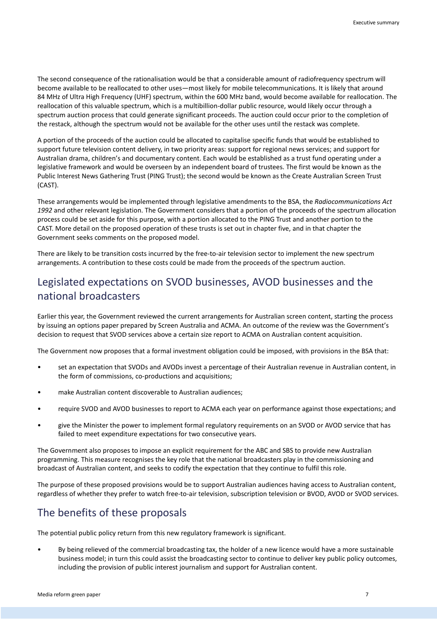The second consequence of the rationalisation would be that a considerable amount of radiofrequency spectrum will become available to be reallocated to other uses—most likely for mobile telecommunications. It is likely that around 84 MHz of Ultra High Frequency (UHF) spectrum, within the 600 MHz band, would become available for reallocation. The reallocation of this valuable spectrum, which is a multibillion-dollar public resource, would likely occur through a spectrum auction process that could generate significant proceeds. The auction could occur prior to the completion of the restack, although the spectrum would not be available for the other uses until the restack was complete.

A portion of the proceeds of the auction could be allocated to capitalise specific funds that would be established to support future television content delivery, in two priority areas: support for regional news services; and support for Australian drama, children's and documentary content. Each would be established as a trust fund operating under a legislative framework and would be overseen by an independent board of trustees. The first would be known as the Public Interest News Gathering Trust (PING Trust); the second would be known as the Create Australian Screen Trust (CAST).

These arrangements would be implemented through legislative amendments to the BSA, the *Radiocommunications Act 1992* and other relevant legislation. The Government considers that a portion of the proceeds of the spectrum allocation process could be set aside for this purpose, with a portion allocated to the PING Trust and another portion to the CAST. More detail on the proposed operation of these trusts is set out in chapter five, and in that chapter the Government seeks comments on the proposed model.

There are likely to be transition costs incurred by the free-to-air television sector to implement the new spectrum arrangements. A contribution to these costs could be made from the proceeds of the spectrum auction.

## Legislated expectations on SVOD businesses, AVOD businesses and the national broadcasters

Earlier this year, the Government reviewed the current arrangements for Australian screen content, starting the process by issuing an options paper prepared by Screen Australia and ACMA. An outcome of the review was the Government's decision to request that SVOD services above a certain size report to ACMA on Australian content acquisition.

The Government now proposes that a formal investment obligation could be imposed, with provisions in the BSA that:

- set an expectation that SVODs and AVODs invest a percentage of their Australian revenue in Australian content, in the form of commissions, co-productions and acquisitions;
- make Australian content discoverable to Australian audiences;
- require SVOD and AVOD businesses to report to ACMA each year on performance against those expectations; and
- give the Minister the power to implement formal regulatory requirements on an SVOD or AVOD service that has failed to meet expenditure expectations for two consecutive years.

The Government also proposes to impose an explicit requirement for the ABC and SBS to provide new Australian programming. This measure recognises the key role that the national broadcasters play in the commissioning and broadcast of Australian content, and seeks to codify the expectation that they continue to fulfil this role.

The purpose of these proposed provisions would be to support Australian audiences having access to Australian content, regardless of whether they prefer to watch free-to-air television, subscription television or BVOD, AVOD or SVOD services.

## The benefits of these proposals

The potential public policy return from this new regulatory framework is significant.

• By being relieved of the commercial broadcasting tax, the holder of a new licence would have a more sustainable business model; in turn this could assist the broadcasting sector to continue to deliver key public policy outcomes, including the provision of public interest journalism and support for Australian content.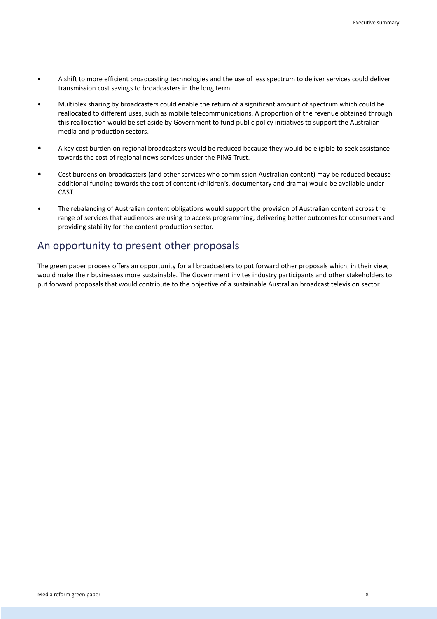- A shift to more efficient broadcasting technologies and the use of less spectrum to deliver services could deliver transmission cost savings to broadcasters in the long term.
- Multiplex sharing by broadcasters could enable the return of a significant amount of spectrum which could be reallocated to different uses, such as mobile telecommunications. A proportion of the revenue obtained through this reallocation would be set aside by Government to fund public policy initiatives to support the Australian media and production sectors.
- A key cost burden on regional broadcasters would be reduced because they would be eligible to seek assistance towards the cost of regional news services under the PING Trust.
- Cost burdens on broadcasters (and other services who commission Australian content) may be reduced because additional funding towards the cost of content (children's, documentary and drama) would be available under CAST.
- The rebalancing of Australian content obligations would support the provision of Australian content across the range of services that audiences are using to access programming, delivering better outcomes for consumers and providing stability for the content production sector.

## An opportunity to present other proposals

The green paper process offers an opportunity for all broadcasters to put forward other proposals which, in their view, would make their businesses more sustainable. The Government invites industry participants and other stakeholders to put forward proposals that would contribute to the objective of a sustainable Australian broadcast television sector.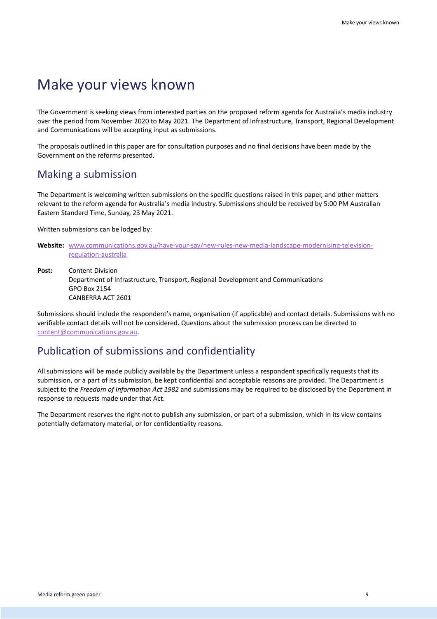# <span id="page-8-0"></span>Make your views known

The Government is seeking views from interested parties on the proposed reform agenda for Australia's media industry over the period from November 2020 to May 2021. The Department of Infrastructure, Transport, Regional Development and Communications will be accepting input as submissions.

The proposals outlined in this paper are for consultation purposes and no final decisions have been made by the Government on the reforms presented.

#### Making a submission

The Department is welcoming written submissions on the specific questions raised in this paper, and other matters relevant to the reform agenda for Australia's media industry. Submissions should be received by 5:00 PM Australian Eastern Standard Time, Sunday, 23 May 2021.

Written submissions can be lodged by:

- Website: [www.communications.gov.au/have-your-say/new-rules-new-media-landscape-modernising-television](http://www.communications.gov.au/have-your-say/new-rules-new-media-landscape-modernising-television-regulation-australia)[regulation-australia](http://www.communications.gov.au/have-your-say/new-rules-new-media-landscape-modernising-television-regulation-australia)
- **Post:** Content Division Department of Infrastructure, Transport, Regional Development and Communications GPO Box 2154 CANBERRA ACT 2601

Submissions should include the respondent's name, organisation (if applicable) and contact details. Submissions with no verifiable contact details will not be considered. Questions about the submission process can be directed to [content@communications.gov.au.](mailto:content@communications.gov.au)

### Publication of submissions and confidentiality

All submissions will be made publicly available by the Department unless a respondent specifically requests that its submission, or a part of its submission, be kept confidential and acceptable reasons are provided. The Department is subject to the *Freedom of Information Act 1982* and submissions may be required to be disclosed by the Department in response to requests made under that Act.

The Department reserves the right not to publish any submission, or part of a submission, which in its view contains potentially defamatory material, or for confidentiality reasons.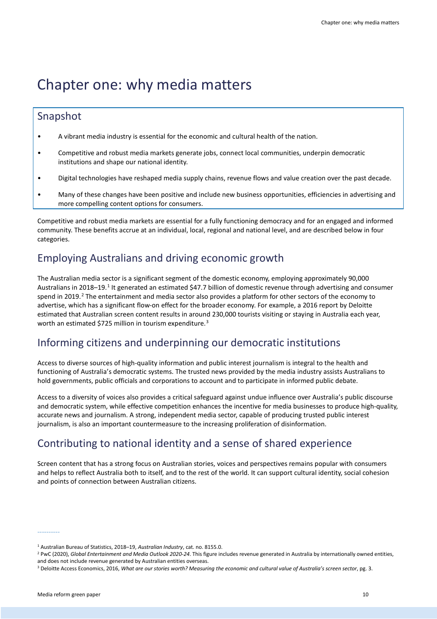# <span id="page-9-0"></span>Chapter one: why media matters

### Snapshot

- A vibrant media industry is essential for the economic and cultural health of the nation.
- Competitive and robust media markets generate jobs, connect local communities, underpin democratic institutions and shape our national identity.
- Digital technologies have reshaped media supply chains, revenue flows and value creation over the past decade.
- Many of these changes have been positive and include new business opportunities, efficiencies in advertising and more compelling content options for consumers.

Competitive and robust media markets are essential for a fully functioning democracy and for an engaged and informed community. These benefits accrue at an individual, local, regional and national level, and are described below in four categories.

## Employing Australians and driving economic growth

The Australian media sector is a significant segment of the domestic economy, employing approximately 90,000 Australians in 20[1](#page-9-1)8–19.<sup>1</sup> It generated an estimated \$47.7 billion of domestic revenue through advertising and consumer spend in [2](#page-9-2)019.<sup>2</sup> The entertainment and media sector also provides a platform for other sectors of the economy to advertise, which has a significant flow-on effect for the broader economy. For example, a 2016 report by Deloitte estimated that Australian screen content results in around 230,000 tourists visiting or staying in Australia each year, worth an estimated \$725 million in tourism expenditure.<sup>[3](#page-9-3)</sup>

## Informing citizens and underpinning our democratic institutions

Access to diverse sources of high-quality information and public interest journalism is integral to the health and functioning of Australia's democratic systems. The trusted news provided by the media industry assists Australians to hold governments, public officials and corporations to account and to participate in informed public debate.

Access to a diversity of voices also provides a critical safeguard against undue influence over Australia's public discourse and democratic system, while effective competition enhances the incentive for media businesses to produce high-quality, accurate news and journalism. A strong, independent media sector, capable of producing trusted public interest journalism, is also an important countermeasure to the increasing proliferation of disinformation.

## Contributing to national identity and a sense of shared experience

Screen content that has a strong focus on Australian stories, voices and perspectives remains popular with consumers and helps to reflect Australia both to itself, and to the rest of the world. It can support cultural identity, social cohesion and points of connection between Australian citizens.

<span id="page-9-2"></span><span id="page-9-1"></span><sup>&</sup>lt;sup>1</sup> Australian Bureau of Statistics, 2018–19, Australian Industry, cat. no. 8155.0.<br><sup>2</sup> PwC (2020), Global Entertainment and Media Outlook 2020-24. This figure includes revenue generated in Australia by internationally own and does not include revenue generated by Australian entities overseas.<br><sup>3</sup> Deloitte Access Economics, 2016, *What are our stories worth? Measuring the economic and cultural value of Australia's screen sector, pg. 3.* 

<span id="page-9-3"></span>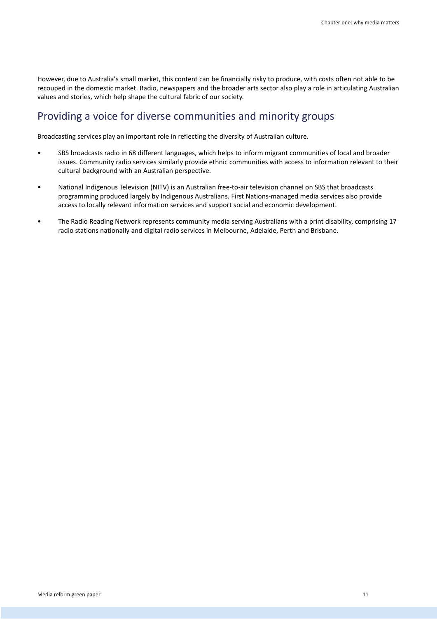However, due to Australia's small market, this content can be financially risky to produce, with costs often not able to be recouped in the domestic market. Radio, newspapers and the broader arts sector also play a role in articulating Australian values and stories, which help shape the cultural fabric of our society.

### Providing a voice for diverse communities and minority groups

Broadcasting services play an important role in reflecting the diversity of Australian culture.

- SBS broadcasts radio in 68 different languages, which helps to inform migrant communities of local and broader issues. Community radio services similarly provide ethnic communities with access to information relevant to their cultural background with an Australian perspective.
- National Indigenous Television (NITV) is an Australian free-to-air television channel on SBS that broadcasts programming produced largely by Indigenous Australians. First Nations-managed media services also provide access to locally relevant information services and support social and economic development.
- The Radio Reading Network represents community media serving Australians with a print disability, comprising 17 radio stations nationally and digital radio services in Melbourne, Adelaide, Perth and Brisbane.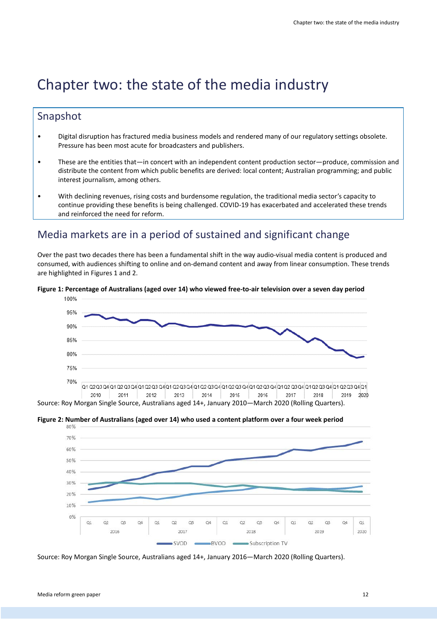# <span id="page-11-0"></span>Chapter two: the state of the media industry

## Snapshot

- Digital disruption has fractured media business models and rendered many of our regulatory settings obsolete. Pressure has been most acute for broadcasters and publishers.
- These are the entities that—in concert with an independent content production sector—produce, commission and distribute the content from which public benefits are derived: local content; Australian programming; and public interest journalism, among others.
- With declining revenues, rising costs and burdensome regulation, the traditional media sector's capacity to continue providing these benefits is being challenged. COVID-19 has exacerbated and accelerated these trends and reinforced the need for reform.

## Media markets are in a period of sustained and significant change

Over the past two decades there has been a fundamental shift in the way audio-visual media content is produced and consumed, with audiences shifting to online and on-demand content and away from linear consumption. These trends are highlighted in Figures 1 and 2.

#### **Figure 1: Percentage of Australians (aged over 14) who viewed free-to-air television over a seven day period**



Source: Roy Morgan Single Source, Australians aged 14+, January 2010—March 2020 (Rolling Quarters).





Source: Roy Morgan Single Source, Australians aged 14+, January 2016—March 2020 (Rolling Quarters).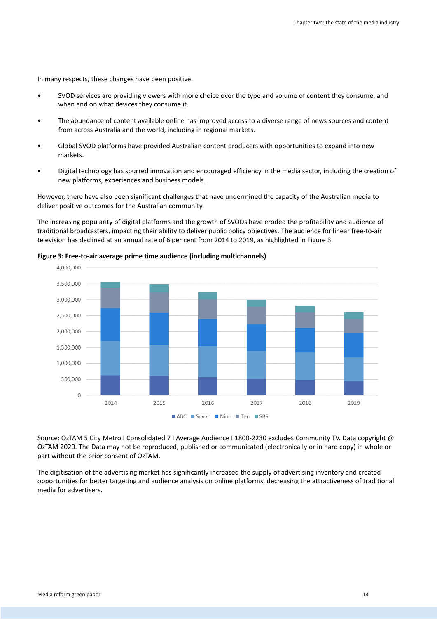In many respects, these changes have been positive.

- SVOD services are providing viewers with more choice over the type and volume of content they consume, and when and on what devices they consume it.
- The abundance of content available online has improved access to a diverse range of news sources and content from across Australia and the world, including in regional markets.
- Global SVOD platforms have provided Australian content producers with opportunities to expand into new markets.
- Digital technology has spurred innovation and encouraged efficiency in the media sector, including the creation of new platforms, experiences and business models.

However, there have also been significant challenges that have undermined the capacity of the Australian media to deliver positive outcomes for the Australian community.

The increasing popularity of digital platforms and the growth of SVODs have eroded the profitability and audience of traditional broadcasters, impacting their ability to deliver public policy objectives. The audience for linear free-to-air television has declined at an annual rate of 6 per cent from 2014 to 2019, as highlighted in Figure 3.



**Figure 3: Free-to-air average prime time audience (including multichannels)** 

Source: OzTAM 5 City Metro I Consolidated 7 I Average Audience I 1800-2230 excludes Community TV. Data copyright @ OzTAM 2020. The Data may not be reproduced, published or communicated (electronically or in hard copy) in whole or part without the prior consent of OzTAM.

The digitisation of the advertising market has significantly increased the supply of advertising inventory and created opportunities for better targeting and audience analysis on online platforms, decreasing the attractiveness of traditional media for advertisers.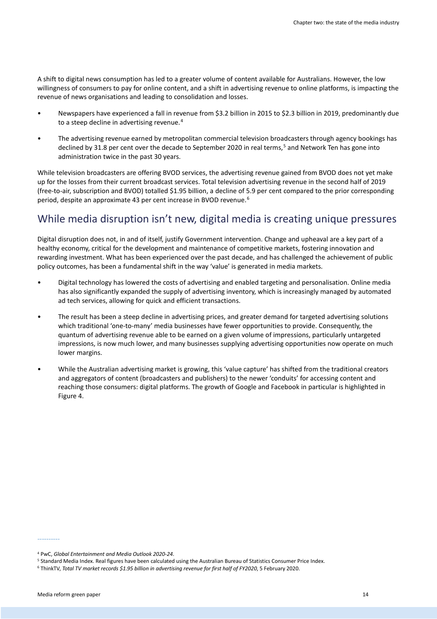A shift to digital news consumption has led to a greater volume of content available for Australians. However, the low willingness of consumers to pay for online content, and a shift in advertising revenue to online platforms, is impacting the revenue of news organisations and leading to consolidation and losses.

- Newspapers have experienced a fall in revenue from \$3.2 billion in 2015 to \$2.3 billion in 2019, predominantly due to a steep decline in advertising revenue.<sup>[4](#page-13-0)</sup>
- The advertising revenue earned by metropolitan commercial television broadcasters through agency bookings has declined by 31.8 per cent over the decade to September 2020 in real terms,<sup>[5](#page-13-1)</sup> and Network Ten has gone into administration twice in the past 30 years.

While television broadcasters are offering BVOD services, the advertising revenue gained from BVOD does not yet make up for the losses from their current broadcast services. Total television advertising revenue in the second half of 2019 (free-to-air, subscription and BVOD) totalled \$1.95 billion, a decline of 5.9 per cent compared to the prior corresponding period, despite an approximate 43 per cent increase in BVOD revenue.<sup>[6](#page-13-2)</sup>

## While media disruption isn't new, digital media is creating unique pressures

Digital disruption does not, in and of itself, justify Government intervention. Change and upheaval are a key part of a healthy economy, critical for the development and maintenance of competitive markets, fostering innovation and rewarding investment. What has been experienced over the past decade, and has challenged the achievement of public policy outcomes, has been a fundamental shift in the way 'value' is generated in media markets.

- Digital technology has lowered the costs of advertising and enabled targeting and personalisation. Online media has also significantly expanded the supply of advertising inventory, which is increasingly managed by automated ad tech services, allowing for quick and efficient transactions.
- The result has been a steep decline in advertising prices, and greater demand for targeted advertising solutions which traditional 'one-to-many' media businesses have fewer opportunities to provide. Consequently, the quantum of advertising revenue able to be earned on a given volume of impressions, particularly untargeted impressions, is now much lower, and many businesses supplying advertising opportunities now operate on much lower margins.
- While the Australian advertising market is growing, this 'value capture' has shifted from the traditional creators and aggregators of content (broadcasters and publishers) to the newer 'conduits' for accessing content and reaching those consumers: digital platforms. The growth of Google and Facebook in particular is highlighted in Figure 4.

<span id="page-13-1"></span><span id="page-13-0"></span><sup>&</sup>lt;sup>4</sup> PwC, *Global Entertainment and Media Outlook 2020-24*.<br><sup>5</sup> Standard Media Index. Real figures have been calculated using the Australian Bureau of Statistics Consumer Price Index.

<span id="page-13-2"></span><sup>6</sup> ThinkTV, *Total TV market records \$1.95 billion in advertising revenue for first half of FY2020*, 5 February 2020.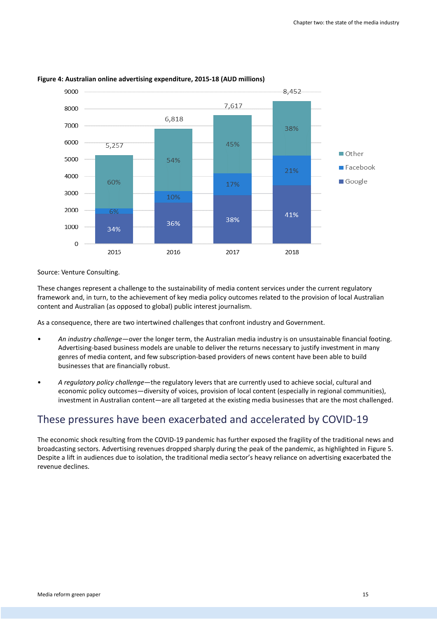

#### **Figure 4: Australian online advertising expenditure, 2015-18 (AUD millions)**

#### Source: Venture Consulting.

These changes represent a challenge to the sustainability of media content services under the current regulatory framework and, in turn, to the achievement of key media policy outcomes related to the provision of local Australian content and Australian (as opposed to global) public interest journalism.

As a consequence, there are two intertwined challenges that confront industry and Government.

- *An industry challenge*—over the longer term, the Australian media industry is on unsustainable financial footing. Advertising-based business models are unable to deliver the returns necessary to justify investment in many genres of media content, and few subscription-based providers of news content have been able to build businesses that are financially robust.
- *A regulatory policy challenge*—the regulatory levers that are currently used to achieve social, cultural and economic policy outcomes—diversity of voices, provision of local content (especially in regional communities), investment in Australian content—are all targeted at the existing media businesses that are the most challenged.

### These pressures have been exacerbated and accelerated by COVID-19

The economic shock resulting from the COVID-19 pandemic has further exposed the fragility of the traditional news and broadcasting sectors. Advertising revenues dropped sharply during the peak of the pandemic, as highlighted in Figure 5. Despite a lift in audiences due to isolation, the traditional media sector's heavy reliance on advertising exacerbated the revenue declines.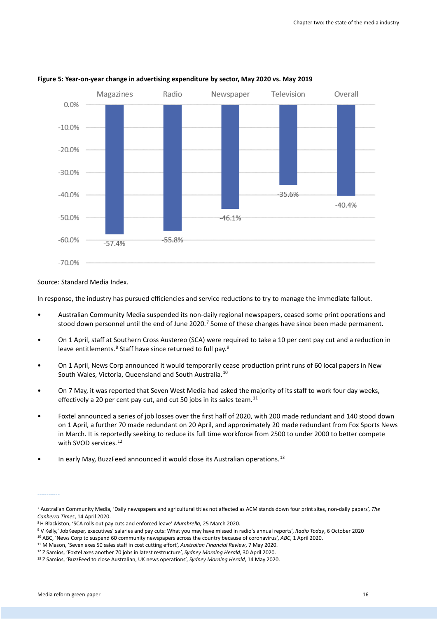

#### **Figure 5: Year-on-year change in advertising expenditure by sector, May 2020 vs. May 2019**

#### Source: Standard Media Index.

In response, the industry has pursued efficiencies and service reductions to try to manage the immediate fallout.

- Australian Community Media suspended its non-daily regional newspapers, ceased some print operations and stood down personnel until the end of June 2020.<sup>[7](#page-15-0)</sup> Some of these changes have since been made permanent.
- On 1 April, staff at Southern Cross Austereo (SCA) were required to take a 10 per cent pay cut and a reduction in leave entitlements.<sup>[8](#page-15-1)</sup> Staff have since returned to full pay.<sup>[9](#page-15-2)</sup>
- On 1 April, News Corp announced it would temporarily cease production print runs of 60 local papers in New South Wales, Victoria, Queensland and South Australia.<sup>[10](#page-15-3)</sup>
- On 7 May, it was reported that Seven West Media had asked the majority of its staff to work four day weeks, effectively a 20 per cent pay cut, and cut 50 jobs in its sales team.<sup>[11](#page-15-4)</sup>
- Foxtel announced a series of job losses over the first half of 2020, with 200 made redundant and 140 stood down on 1 April, a further 70 made redundant on 20 April, and approximately 20 made redundant from Fox Sports News in March. It is reportedly seeking to reduce its full time workforce from 2500 to under 2000 to better compete with SVOD services.<sup>[12](#page-15-5)</sup>
- In early May, BuzzFeed announced it would close its Australian operations.<sup>[13](#page-15-6)</sup>

<span id="page-15-0"></span><sup>7</sup> Australian Community Media, 'Daily newspapers and agricultural titles not affected as ACM stands down four print sites, non-daily papers', *The Canberra Times*, 14 April 2020.

<span id="page-15-1"></span><sup>8</sup>H Blackiston, 'SCA rolls out pay cuts and enforced leave' *Mumbrella*, 25 March 2020.

<span id="page-15-2"></span><sup>9</sup> V Kelly,' JobKeeper, executives' salaries and pay cuts: What you may have missed in radio's annual reports', *Radio Today*, 6 October 2020

<span id="page-15-3"></span><sup>10</sup> ABC, 'News Corp to suspend 60 community newspapers across the country because of coronavirus', *ABC*, 1 April 2020.

<span id="page-15-4"></span><sup>11</sup> M Mason, 'Seven axes 50 sales staff in cost cutting effort', *Australian Financial Review*, 7 May 2020.

<span id="page-15-5"></span><sup>12</sup> Z Samios, 'Foxtel axes another 70 jobs in latest restructure', *Sydney Morning Herald*, 30 April 2020.

<span id="page-15-6"></span><sup>13</sup> Z Samios, 'BuzzFeed to close Australian, UK news operations', *Sydney Morning Herald*, 14 May 2020.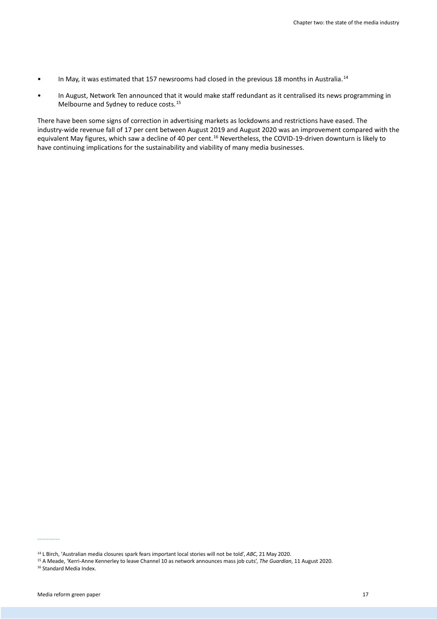- In May, it was estimated that 157 newsrooms had closed in the previous 18 months in Australia.<sup>[14](#page-16-0)</sup>
- In August, Network Ten announced that it would make staff redundant as it centralised its news programming in Melbourne and Sydney to reduce costs.[15](#page-16-1)

There have been some signs of correction in advertising markets as lockdowns and restrictions have eased. The industry-wide revenue fall of 17 per cent between August 2019 and August 2020 was an improvement compared with the equivalent May figures, which saw a decline of 40 per cent.<sup>[16](#page-16-2)</sup> Nevertheless, the COVID-19-driven downturn is likely to have continuing implications for the sustainability and viability of many media businesses.

<span id="page-16-0"></span><sup>14</sup> L Birch, 'Australian media closures spark fears important local stories will not be told', *ABC*, 21 May 2020.

<span id="page-16-2"></span><span id="page-16-1"></span><sup>&</sup>lt;sup>15</sup> A Meade, 'Kerri-Anne Kennerley to leave Channel 10 as network announces mass job cuts', *The Guardian*, 11 August 2020.<br><sup>16</sup> Standard Media Index.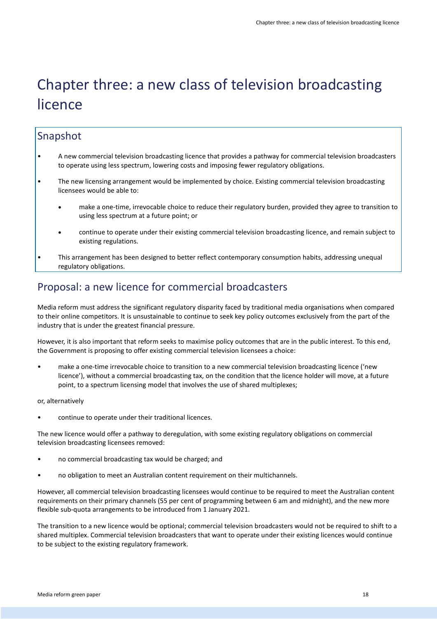# <span id="page-17-0"></span>Chapter three: a new class of television broadcasting licence

## Snapshot

- A new commercial television broadcasting licence that provides a pathway for commercial television broadcasters to operate using less spectrum, lowering costs and imposing fewer regulatory obligations.
- The new licensing arrangement would be implemented by choice. Existing commercial television broadcasting licensees would be able to:
	- make a one-time, irrevocable choice to reduce their regulatory burden, provided they agree to transition to using less spectrum at a future point; or
	- continue to operate under their existing commercial television broadcasting licence, and remain subject to existing regulations.
- This arrangement has been designed to better reflect contemporary consumption habits, addressing unequal regulatory obligations.

## Proposal: a new licence for commercial broadcasters

Media reform must address the significant regulatory disparity faced by traditional media organisations when compared to their online competitors. It is unsustainable to continue to seek key policy outcomes exclusively from the part of the industry that is under the greatest financial pressure.

However, it is also important that reform seeks to maximise policy outcomes that are in the public interest. To this end, the Government is proposing to offer existing commercial television licensees a choice:

• make a one-time irrevocable choice to transition to a new commercial television broadcasting licence ('new licence'), without a commercial broadcasting tax, on the condition that the licence holder will move, at a future point, to a spectrum licensing model that involves the use of shared multiplexes;

or, alternatively

continue to operate under their traditional licences.

The new licence would offer a pathway to deregulation, with some existing regulatory obligations on commercial television broadcasting licensees removed:

- no commercial broadcasting tax would be charged; and
- no obligation to meet an Australian content requirement on their multichannels.

However, all commercial television broadcasting licensees would continue to be required to meet the Australian content requirements on their primary channels (55 per cent of programming between 6 am and midnight), and the new more flexible sub-quota arrangements to be introduced from 1 January 2021.

The transition to a new licence would be optional; commercial television broadcasters would not be required to shift to a shared multiplex. Commercial television broadcasters that want to operate under their existing licences would continue to be subject to the existing regulatory framework.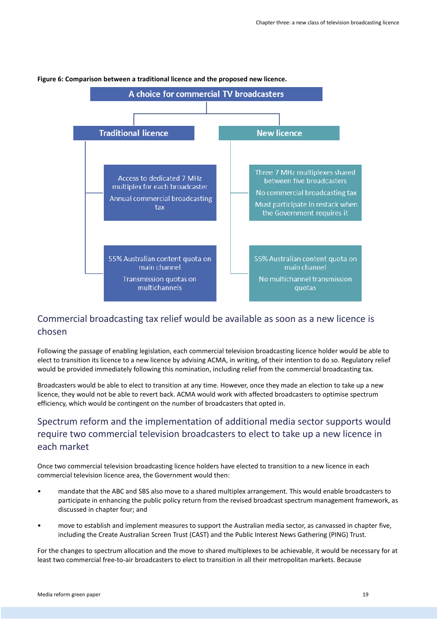

#### **Figure 6: Comparison between a traditional licence and the proposed new licence.**

#### Commercial broadcasting tax relief would be available as soon as a new licence is chosen

Following the passage of enabling legislation, each commercial television broadcasting licence holder would be able to elect to transition its licence to a new licence by advising ACMA, in writing, of their intention to do so. Regulatory relief would be provided immediately following this nomination, including relief from the commercial broadcasting tax.

Broadcasters would be able to elect to transition at any time. However, once they made an election to take up a new licence, they would not be able to revert back. ACMA would work with affected broadcasters to optimise spectrum efficiency, which would be contingent on the number of broadcasters that opted in.

### Spectrum reform and the implementation of additional media sector supports would require two commercial television broadcasters to elect to take up a new licence in each market

Once two commercial television broadcasting licence holders have elected to transition to a new licence in each commercial television licence area, the Government would then:

- mandate that the ABC and SBS also move to a shared multiplex arrangement. This would enable broadcasters to participate in enhancing the public policy return from the revised broadcast spectrum management framework, as discussed in chapter four; and
- move to establish and implement measures to support the Australian media sector, as canvassed in chapter five, including the Create Australian Screen Trust (CAST) and the Public Interest News Gathering (PING) Trust.

For the changes to spectrum allocation and the move to shared multiplexes to be achievable, it would be necessary for at least two commercial free-to-air broadcasters to elect to transition in all their metropolitan markets. Because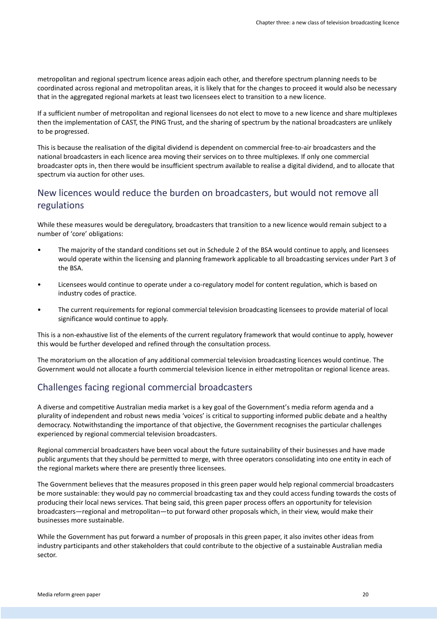metropolitan and regional spectrum licence areas adjoin each other, and therefore spectrum planning needs to be coordinated across regional and metropolitan areas, it is likely that for the changes to proceed it would also be necessary that in the aggregated regional markets at least two licensees elect to transition to a new licence.

If a sufficient number of metropolitan and regional licensees do not elect to move to a new licence and share multiplexes then the implementation of CAST, the PING Trust, and the sharing of spectrum by the national broadcasters are unlikely to be progressed.

This is because the realisation of the digital dividend is dependent on commercial free-to-air broadcasters and the national broadcasters in each licence area moving their services on to three multiplexes. If only one commercial broadcaster opts in, then there would be insufficient spectrum available to realise a digital dividend, and to allocate that spectrum via auction for other uses.

#### New licences would reduce the burden on broadcasters, but would not remove all regulations

While these measures would be deregulatory, broadcasters that transition to a new licence would remain subject to a number of 'core' obligations:

- The majority of the standard conditions set out in Schedule 2 of the BSA would continue to apply, and licensees would operate within the licensing and planning framework applicable to all broadcasting services under Part 3 of the BSA.
- Licensees would continue to operate under a co-regulatory model for content regulation, which is based on industry codes of practice.
- The current requirements for regional commercial television broadcasting licensees to provide material of local significance would continue to apply.

This is a non-exhaustive list of the elements of the current regulatory framework that would continue to apply, however this would be further developed and refined through the consultation process.

The moratorium on the allocation of any additional commercial television broadcasting licences would continue. The Government would not allocate a fourth commercial television licence in either metropolitan or regional licence areas.

#### Challenges facing regional commercial broadcasters

A diverse and competitive Australian media market is a key goal of the Government's media reform agenda and a plurality of independent and robust news media 'voices' is critical to supporting informed public debate and a healthy democracy. Notwithstanding the importance of that objective, the Government recognises the particular challenges experienced by regional commercial television broadcasters.

Regional commercial broadcasters have been vocal about the future sustainability of their businesses and have made public arguments that they should be permitted to merge, with three operators consolidating into one entity in each of the regional markets where there are presently three licensees.

The Government believes that the measures proposed in this green paper would help regional commercial broadcasters be more sustainable: they would pay no commercial broadcasting tax and they could access funding towards the costs of producing their local news services. That being said, this green paper process offers an opportunity for television broadcasters—regional and metropolitan—to put forward other proposals which, in their view, would make their businesses more sustainable.

While the Government has put forward a number of proposals in this green paper, it also invites other ideas from industry participants and other stakeholders that could contribute to the objective of a sustainable Australian media sector.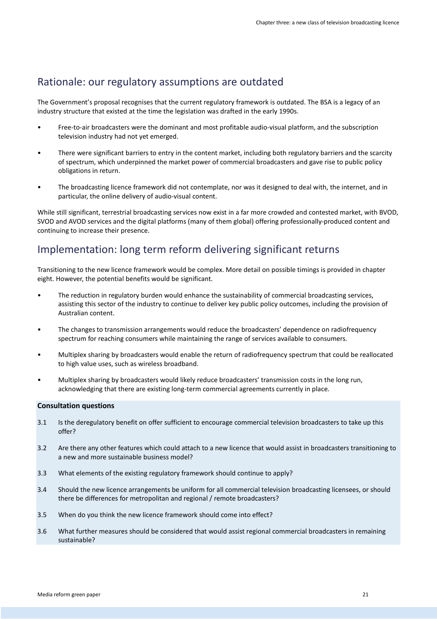## Rationale: our regulatory assumptions are outdated

The Government's proposal recognises that the current regulatory framework is outdated. The BSA is a legacy of an industry structure that existed at the time the legislation was drafted in the early 1990s.

- Free-to-air broadcasters were the dominant and most profitable audio-visual platform, and the subscription television industry had not yet emerged.
- There were significant barriers to entry in the content market, including both regulatory barriers and the scarcity of spectrum, which underpinned the market power of commercial broadcasters and gave rise to public policy obligations in return.
- The broadcasting licence framework did not contemplate, nor was it designed to deal with, the internet, and in particular, the online delivery of audio-visual content.

While still significant, terrestrial broadcasting services now exist in a far more crowded and contested market, with BVOD, SVOD and AVOD services and the digital platforms (many of them global) offering professionally-produced content and continuing to increase their presence.

## Implementation: long term reform delivering significant returns

Transitioning to the new licence framework would be complex. More detail on possible timings is provided in chapter eight. However, the potential benefits would be significant.

- The reduction in regulatory burden would enhance the sustainability of commercial broadcasting services, assisting this sector of the industry to continue to deliver key public policy outcomes, including the provision of Australian content.
- The changes to transmission arrangements would reduce the broadcasters' dependence on radiofrequency spectrum for reaching consumers while maintaining the range of services available to consumers.
- Multiplex sharing by broadcasters would enable the return of radiofrequency spectrum that could be reallocated to high value uses, such as wireless broadband.
- Multiplex sharing by broadcasters would likely reduce broadcasters' transmission costs in the long run, acknowledging that there are existing long-term commercial agreements currently in place.

#### **Consultation questions**

- 3.1 Is the deregulatory benefit on offer sufficient to encourage commercial television broadcasters to take up this offer?
- 3.2 Are there any other features which could attach to a new licence that would assist in broadcasters transitioning to a new and more sustainable business model?
- 3.3 What elements of the existing regulatory framework should continue to apply?
- 3.4 Should the new licence arrangements be uniform for all commercial television broadcasting licensees, or should there be differences for metropolitan and regional / remote broadcasters?
- 3.5 When do you think the new licence framework should come into effect?
- 3.6 What further measures should be considered that would assist regional commercial broadcasters in remaining sustainable?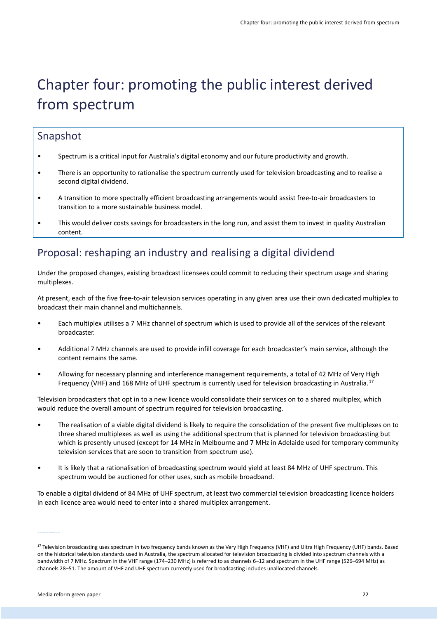# <span id="page-21-0"></span>Chapter four: promoting the public interest derived from spectrum

### Snapshot

- Spectrum is a critical input for Australia's digital economy and our future productivity and growth.
- There is an opportunity to rationalise the spectrum currently used for television broadcasting and to realise a second digital dividend.
- A transition to more spectrally efficient broadcasting arrangements would assist free-to-air broadcasters to transition to a more sustainable business model.
- This would deliver costs savings for broadcasters in the long run, and assist them to invest in quality Australian content.

## Proposal: reshaping an industry and realising a digital dividend

Under the proposed changes, existing broadcast licensees could commit to reducing their spectrum usage and sharing multiplexes.

At present, each of the five free-to-air television services operating in any given area use their own dedicated multiplex to broadcast their main channel and multichannels.

- Each multiplex utilises a 7 MHz channel of spectrum which is used to provide all of the services of the relevant broadcaster.
- Additional 7 MHz channels are used to provide infill coverage for each broadcaster's main service, although the content remains the same.
- Allowing for necessary planning and interference management requirements, a total of 42 MHz of Very High Frequency (VHF) and 168 MHz of UHF spectrum is currently used for television broadcasting in Australia.<sup>[17](#page-21-1)</sup>

Television broadcasters that opt in to a new licence would consolidate their services on to a shared multiplex, which would reduce the overall amount of spectrum required for television broadcasting.

- The realisation of a viable digital dividend is likely to require the consolidation of the present five multiplexes on to three shared multiplexes as well as using the additional spectrum that is planned for television broadcasting but which is presently unused (except for 14 MHz in Melbourne and 7 MHz in Adelaide used for temporary community television services that are soon to transition from spectrum use).
- It is likely that a rationalisation of broadcasting spectrum would yield at least 84 MHz of UHF spectrum. This spectrum would be auctioned for other uses, such as mobile broadband.

To enable a digital dividend of 84 MHz of UHF spectrum, at least two commercial television broadcasting licence holders in each licence area would need to enter into a shared multiplex arrangement.

<span id="page-21-1"></span><sup>&</sup>lt;sup>17</sup> Television broadcasting uses spectrum in two frequency bands known as the Very High Frequency (VHF) and Ultra High Frequency (UHF) bands. Based on the historical television standards used in Australia, the spectrum allocated for television broadcasting is divided into spectrum channels with a bandwidth of 7 MHz. Spectrum in the VHF range (174–230 MHz) is referred to as channels 6–12 and spectrum in the UHF range (526–694 MHz) as channels 28–51. The amount of VHF and UHF spectrum currently used for broadcasting includes unallocated channels.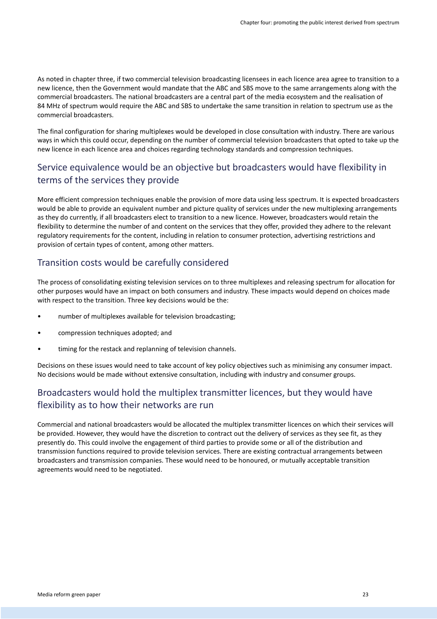As noted in chapter three, if two commercial television broadcasting licensees in each licence area agree to transition to a new licence, then the Government would mandate that the ABC and SBS move to the same arrangements along with the commercial broadcasters. The national broadcasters are a central part of the media ecosystem and the realisation of 84 MHz of spectrum would require the ABC and SBS to undertake the same transition in relation to spectrum use as the commercial broadcasters.

The final configuration for sharing multiplexes would be developed in close consultation with industry. There are various ways in which this could occur, depending on the number of commercial television broadcasters that opted to take up the new licence in each licence area and choices regarding technology standards and compression techniques.

### Service equivalence would be an objective but broadcasters would have flexibility in terms of the services they provide

More efficient compression techniques enable the provision of more data using less spectrum. It is expected broadcasters would be able to provide an equivalent number and picture quality of services under the new multiplexing arrangements as they do currently, if all broadcasters elect to transition to a new licence. However, broadcasters would retain the flexibility to determine the number of and content on the services that they offer, provided they adhere to the relevant regulatory requirements for the content, including in relation to consumer protection, advertising restrictions and provision of certain types of content, among other matters.

#### Transition costs would be carefully considered

The process of consolidating existing television services on to three multiplexes and releasing spectrum for allocation for other purposes would have an impact on both consumers and industry. These impacts would depend on choices made with respect to the transition. Three key decisions would be the:

- number of multiplexes available for television broadcasting;
- compression techniques adopted; and
- timing for the restack and replanning of television channels.

Decisions on these issues would need to take account of key policy objectives such as minimising any consumer impact. No decisions would be made without extensive consultation, including with industry and consumer groups.

### Broadcasters would hold the multiplex transmitter licences, but they would have flexibility as to how their networks are run

Commercial and national broadcasters would be allocated the multiplex transmitter licences on which their services will be provided. However, they would have the discretion to contract out the delivery of services as they see fit, as they presently do. This could involve the engagement of third parties to provide some or all of the distribution and transmission functions required to provide television services. There are existing contractual arrangements between broadcasters and transmission companies. These would need to be honoured, or mutually acceptable transition agreements would need to be negotiated.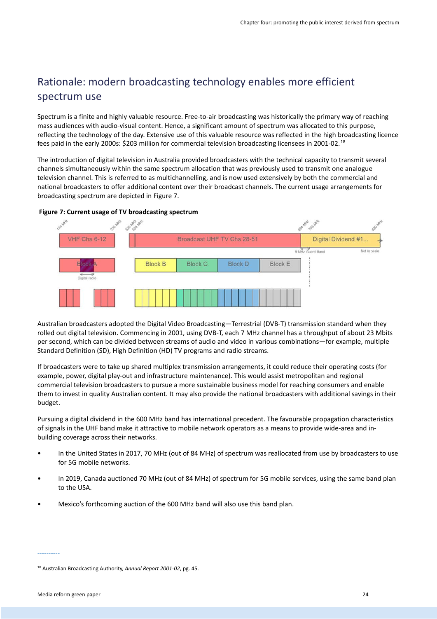# Rationale: modern broadcasting technology enables more efficient spectrum use

Spectrum is a finite and highly valuable resource. Free-to-air broadcasting was historically the primary way of reaching mass audiences with audio-visual content. Hence, a significant amount of spectrum was allocated to this purpose, reflecting the technology of the day. Extensive use of this valuable resource was reflected in the high broadcasting licence fees paid in the early 2000s: \$203 million for commercial television broadcasting licensees in 2001-02.[18](#page-23-0) 

The introduction of digital television in Australia provided broadcasters with the technical capacity to transmit several channels simultaneously within the same spectrum allocation that was previously used to transmit one analogue television channel. This is referred to as multichannelling, and is now used extensively by both the commercial and national broadcasters to offer additional content over their broadcast channels. The current usage arrangements for broadcasting spectrum are depicted in Figure 7.

#### **Figure 7: Current usage of TV broadcasting spectrum**



Australian broadcasters adopted the Digital Video Broadcasting—Terrestrial (DVB-T) transmission standard when they rolled out digital television. Commencing in 2001, using DVB-T, each 7 MHz channel has a throughput of about 23 Mbits per second, which can be divided between streams of audio and video in various combinations—for example, multiple Standard Definition (SD), High Definition (HD) TV programs and radio streams.

If broadcasters were to take up shared multiplex transmission arrangements, it could reduce their operating costs (for example, power, digital play-out and infrastructure maintenance). This would assist metropolitan and regional commercial television broadcasters to pursue a more sustainable business model for reaching consumers and enable them to invest in quality Australian content. It may also provide the national broadcasters with additional savings in their budget.

Pursuing a digital dividend in the 600 MHz band has international precedent. The favourable propagation characteristics of signals in the UHF band make it attractive to mobile network operators as a means to provide wide-area and inbuilding coverage across their networks.

- In the United States in 2017, 70 MHz (out of 84 MHz) of spectrum was reallocated from use by broadcasters to use for 5G mobile networks.
- In 2019, Canada auctioned 70 MHz (out of 84 MHz) of spectrum for 5G mobile services, using the same band plan to the USA.
- Mexico's forthcoming auction of the 600 MHz band will also use this band plan.

<span id="page-23-0"></span><sup>18</sup> Australian Broadcasting Authority, *Annual Report 2001-02*, pg. 45.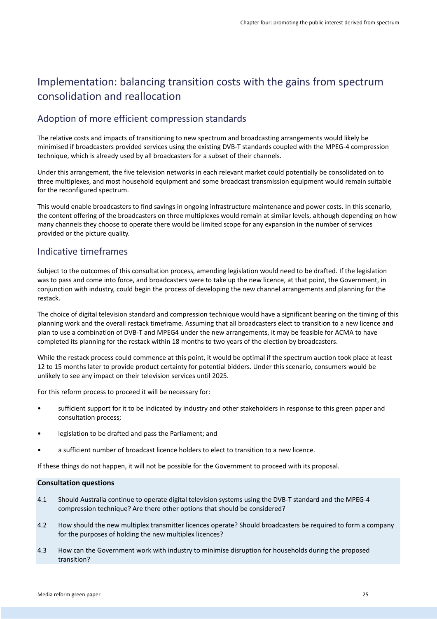# Implementation: balancing transition costs with the gains from spectrum consolidation and reallocation

#### Adoption of more efficient compression standards

The relative costs and impacts of transitioning to new spectrum and broadcasting arrangements would likely be minimised if broadcasters provided services using the existing DVB-T standards coupled with the MPEG-4 compression technique, which is already used by all broadcasters for a subset of their channels.

Under this arrangement, the five television networks in each relevant market could potentially be consolidated on to three multiplexes, and most household equipment and some broadcast transmission equipment would remain suitable for the reconfigured spectrum.

This would enable broadcasters to find savings in ongoing infrastructure maintenance and power costs. In this scenario, the content offering of the broadcasters on three multiplexes would remain at similar levels, although depending on how many channels they choose to operate there would be limited scope for any expansion in the number of services provided or the picture quality.

#### Indicative timeframes

Subject to the outcomes of this consultation process, amending legislation would need to be drafted. If the legislation was to pass and come into force, and broadcasters were to take up the new licence, at that point, the Government, in conjunction with industry, could begin the process of developing the new channel arrangements and planning for the restack.

The choice of digital television standard and compression technique would have a significant bearing on the timing of this planning work and the overall restack timeframe. Assuming that all broadcasters elect to transition to a new licence and plan to use a combination of DVB-T and MPEG4 under the new arrangements, it may be feasible for ACMA to have completed its planning for the restack within 18 months to two years of the election by broadcasters.

While the restack process could commence at this point, it would be optimal if the spectrum auction took place at least 12 to 15 months later to provide product certainty for potential bidders. Under this scenario, consumers would be unlikely to see any impact on their television services until 2025.

For this reform process to proceed it will be necessary for:

- sufficient support for it to be indicated by industry and other stakeholders in response to this green paper and consultation process;
- legislation to be drafted and pass the Parliament; and
- a sufficient number of broadcast licence holders to elect to transition to a new licence.

If these things do not happen, it will not be possible for the Government to proceed with its proposal.

#### **Consultation questions**

- 4.1 Should Australia continue to operate digital television systems using the DVB-T standard and the MPEG-4 compression technique? Are there other options that should be considered?
- 4.2 How should the new multiplex transmitter licences operate? Should broadcasters be required to form a company for the purposes of holding the new multiplex licences?
- 4.3 How can the Government work with industry to minimise disruption for households during the proposed transition?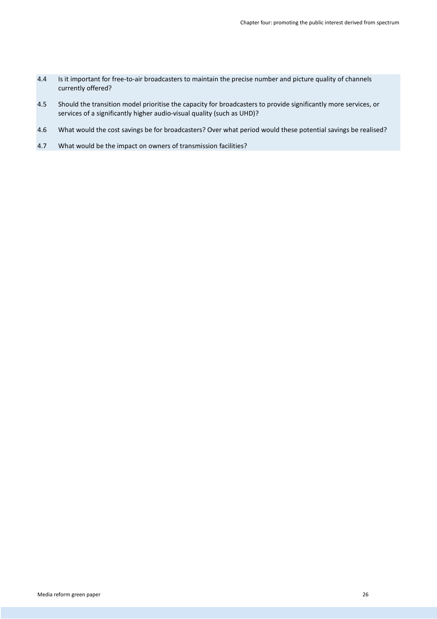- 4.4 Is it important for free-to-air broadcasters to maintain the precise number and picture quality of channels currently offered?
- 4.5 Should the transition model prioritise the capacity for broadcasters to provide significantly more services, or services of a significantly higher audio-visual quality (such as UHD)?
- 4.6 What would the cost savings be for broadcasters? Over what period would these potential savings be realised?
- 4.7 What would be the impact on owners of transmission facilities?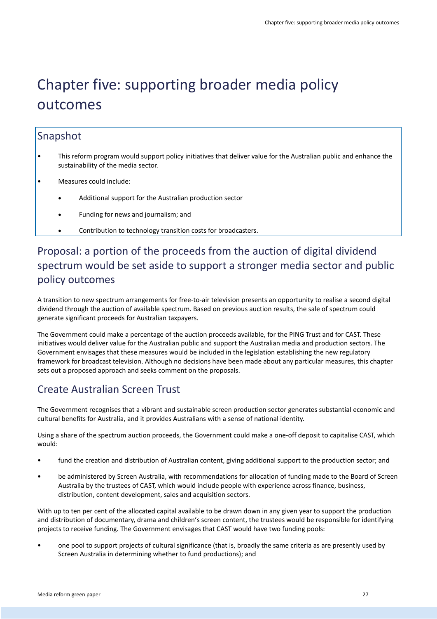# <span id="page-26-0"></span>Chapter five: supporting broader media policy outcomes

## Snapshot

- This reform program would support policy initiatives that deliver value for the Australian public and enhance the sustainability of the media sector.
- Measures could include:
	- Additional support for the Australian production sector
	- Funding for news and journalism; and
	- Contribution to technology transition costs for broadcasters.

# Proposal: a portion of the proceeds from the auction of digital dividend spectrum would be set aside to support a stronger media sector and public policy outcomes

A transition to new spectrum arrangements for free-to-air television presents an opportunity to realise a second digital dividend through the auction of available spectrum. Based on previous auction results, the sale of spectrum could generate significant proceeds for Australian taxpayers.

The Government could make a percentage of the auction proceeds available, for the PING Trust and for CAST. These initiatives would deliver value for the Australian public and support the Australian media and production sectors. The Government envisages that these measures would be included in the legislation establishing the new regulatory framework for broadcast television. Although no decisions have been made about any particular measures, this chapter sets out a proposed approach and seeks comment on the proposals.

## Create Australian Screen Trust

The Government recognises that a vibrant and sustainable screen production sector generates substantial economic and cultural benefits for Australia, and it provides Australians with a sense of national identity.

Using a share of the spectrum auction proceeds, the Government could make a one-off deposit to capitalise CAST, which would:

- fund the creation and distribution of Australian content, giving additional support to the production sector; and
- be administered by Screen Australia, with recommendations for allocation of funding made to the Board of Screen Australia by the trustees of CAST, which would include people with experience across finance, business, distribution, content development, sales and acquisition sectors.

With up to ten per cent of the allocated capital available to be drawn down in any given year to support the production and distribution of documentary, drama and children's screen content, the trustees would be responsible for identifying projects to receive funding. The Government envisages that CAST would have two funding pools:

• one pool to support projects of cultural significance (that is, broadly the same criteria as are presently used by Screen Australia in determining whether to fund productions); and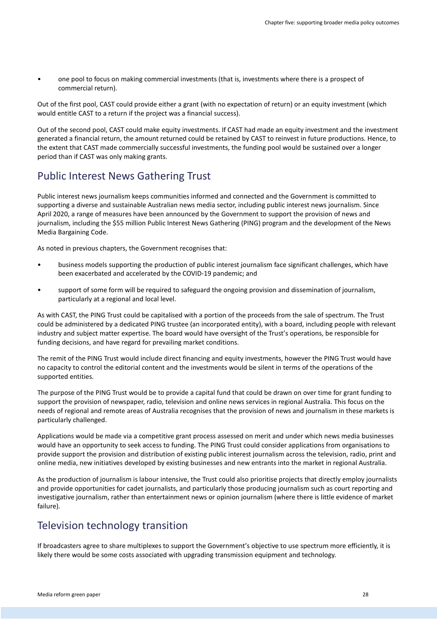• one pool to focus on making commercial investments (that is, investments where there is a prospect of commercial return).

Out of the first pool, CAST could provide either a grant (with no expectation of return) or an equity investment (which would entitle CAST to a return if the project was a financial success).

Out of the second pool, CAST could make equity investments. If CAST had made an equity investment and the investment generated a financial return, the amount returned could be retained by CAST to reinvest in future productions. Hence, to the extent that CAST made commercially successful investments, the funding pool would be sustained over a longer period than if CAST was only making grants.

## Public Interest News Gathering Trust

Public interest news journalism keeps communities informed and connected and the Government is committed to supporting a diverse and sustainable Australian news media sector, including public interest news journalism. Since April 2020, a range of measures have been announced by the Government to support the provision of news and journalism, including the \$55 million Public Interest News Gathering (PING) program and the development of the News Media Bargaining Code.

As noted in previous chapters, the Government recognises that:

- business models supporting the production of public interest journalism face significant challenges, which have been exacerbated and accelerated by the COVID-19 pandemic; and
- support of some form will be required to safeguard the ongoing provision and dissemination of journalism, particularly at a regional and local level.

As with CAST, the PING Trust could be capitalised with a portion of the proceeds from the sale of spectrum. The Trust could be administered by a dedicated PING trustee (an incorporated entity), with a board, including people with relevant industry and subject matter expertise. The board would have oversight of the Trust's operations, be responsible for funding decisions, and have regard for prevailing market conditions.

The remit of the PING Trust would include direct financing and equity investments, however the PING Trust would have no capacity to control the editorial content and the investments would be silent in terms of the operations of the supported entities.

The purpose of the PING Trust would be to provide a capital fund that could be drawn on over time for grant funding to support the provision of newspaper, radio, television and online news services in regional Australia. This focus on the needs of regional and remote areas of Australia recognises that the provision of news and journalism in these markets is particularly challenged.

Applications would be made via a competitive grant process assessed on merit and under which news media businesses would have an opportunity to seek access to funding. The PING Trust could consider applications from organisations to provide support the provision and distribution of existing public interest journalism across the television, radio, print and online media, new initiatives developed by existing businesses and new entrants into the market in regional Australia.

As the production of journalism is labour intensive, the Trust could also prioritise projects that directly employ journalists and provide opportunities for cadet journalists, and particularly those producing journalism such as court reporting and investigative journalism, rather than entertainment news or opinion journalism (where there is little evidence of market failure).

## Television technology transition

If broadcasters agree to share multiplexes to support the Government's objective to use spectrum more efficiently, it is likely there would be some costs associated with upgrading transmission equipment and technology.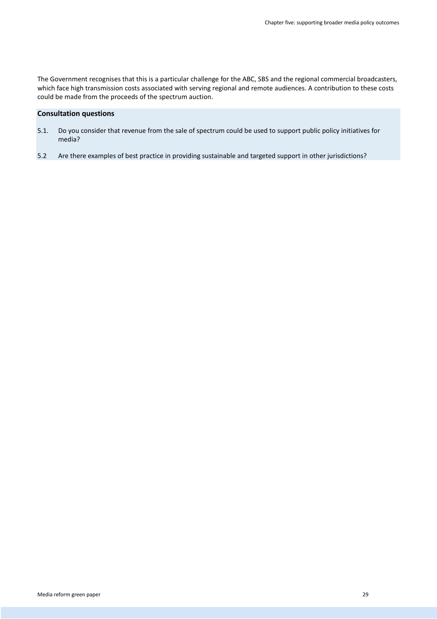The Government recognises that this is a particular challenge for the ABC, SBS and the regional commercial broadcasters, which face high transmission costs associated with serving regional and remote audiences. A contribution to these costs could be made from the proceeds of the spectrum auction.

#### **Consultation questions**

- 5.1. Do you consider that revenue from the sale of spectrum could be used to support public policy initiatives for media?
- 5.2 Are there examples of best practice in providing sustainable and targeted support in other jurisdictions?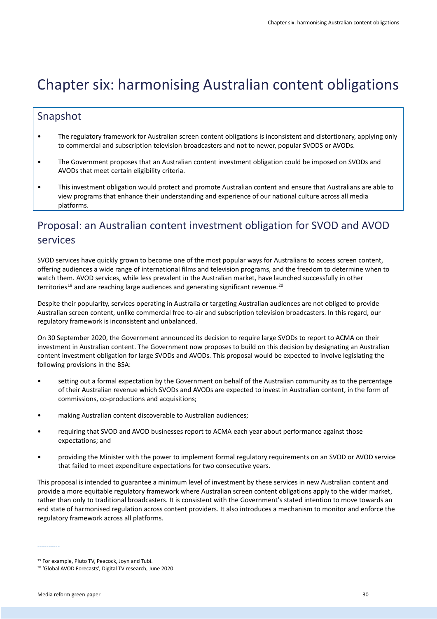# <span id="page-29-0"></span>Chapter six: harmonising Australian content obligations

### Snapshot

- The regulatory framework for Australian screen content obligations is inconsistent and distortionary, applying only to commercial and subscription television broadcasters and not to newer, popular SVODS or AVODs.
- The Government proposes that an Australian content investment obligation could be imposed on SVODs and AVODs that meet certain eligibility criteria.
- This investment obligation would protect and promote Australian content and ensure that Australians are able to view programs that enhance their understanding and experience of our national culture across all media platforms.

## Proposal: an Australian content investment obligation for SVOD and AVOD services

SVOD services have quickly grown to become one of the most popular ways for Australians to access screen content, offering audiences a wide range of international films and television programs, and the freedom to determine when to watch them. AVOD services, while less prevalent in the Australian market, have launched successfully in other territories<sup>[19](#page-29-1)</sup> and are reaching large audiences and generating significant revenue.<sup>[20](#page-29-2)</sup>

Despite their popularity, services operating in Australia or targeting Australian audiences are not obliged to provide Australian screen content, unlike commercial free-to-air and subscription television broadcasters. In this regard, our regulatory framework is inconsistent and unbalanced.

On 30 September 2020, the Government announced its decision to require large SVODs to report to ACMA on their investment in Australian content. The Government now proposes to build on this decision by designating an Australian content investment obligation for large SVODs and AVODs. This proposal would be expected to involve legislating the following provisions in the BSA:

- setting out a formal expectation by the Government on behalf of the Australian community as to the percentage of their Australian revenue which SVODs and AVODs are expected to invest in Australian content, in the form of commissions, co-productions and acquisitions;
- making Australian content discoverable to Australian audiences;
- requiring that SVOD and AVOD businesses report to ACMA each year about performance against those expectations; and
- providing the Minister with the power to implement formal regulatory requirements on an SVOD or AVOD service that failed to meet expenditure expectations for two consecutive years.

This proposal is intended to guarantee a minimum level of investment by these services in new Australian content and provide a more equitable regulatory framework where Australian screen content obligations apply to the wider market, rather than only to traditional broadcasters. It is consistent with the Government's stated intention to move towards an end state of harmonised regulation across content providers. It also introduces a mechanism to monitor and enforce the regulatory framework across all platforms.

<span id="page-29-1"></span><sup>19</sup> For example, Pluto TV, Peacock, Joyn and Tubi.

<span id="page-29-2"></span><sup>20</sup> 'Global AVOD Forecasts', Digital TV research, June 2020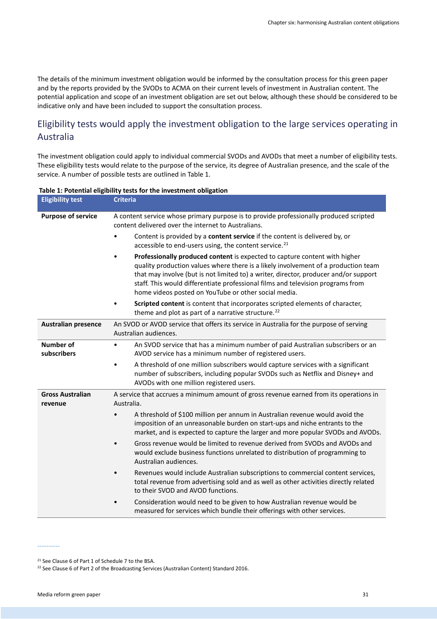The details of the minimum investment obligation would be informed by the consultation process for this green paper and by the reports provided by the SVODs to ACMA on their current levels of investment in Australian content. The potential application and scope of an investment obligation are set out below, although these should be considered to be indicative only and have been included to support the consultation process.

#### Eligibility tests would apply the investment obligation to the large services operating in Australia

The investment obligation could apply to individual commercial SVODs and AVODs that meet a number of eligibility tests. These eligibility tests would relate to the purpose of the service, its degree of Australian presence, and the scale of the service. A number of possible tests are outlined in Table 1.

| Table 1: Potential eligibility tests for the investment obligation |  |
|--------------------------------------------------------------------|--|
|--------------------------------------------------------------------|--|

| <b>Eligibility test</b>            | <b>Criteria</b>                                                                                                                                                                                                                                                                                                                                                                                     |  |
|------------------------------------|-----------------------------------------------------------------------------------------------------------------------------------------------------------------------------------------------------------------------------------------------------------------------------------------------------------------------------------------------------------------------------------------------------|--|
| <b>Purpose of service</b>          | A content service whose primary purpose is to provide professionally produced scripted<br>content delivered over the internet to Australians.                                                                                                                                                                                                                                                       |  |
|                                    | Content is provided by a content service if the content is delivered by, or<br>accessible to end-users using, the content service. <sup>21</sup>                                                                                                                                                                                                                                                    |  |
|                                    | Professionally produced content is expected to capture content with higher<br>quality production values where there is a likely involvement of a production team<br>that may involve (but is not limited to) a writer, director, producer and/or support<br>staff. This would differentiate professional films and television programs from<br>home videos posted on YouTube or other social media. |  |
|                                    | Scripted content is content that incorporates scripted elements of character,<br>$\bullet$<br>theme and plot as part of a narrative structure. <sup>22</sup>                                                                                                                                                                                                                                        |  |
| <b>Australian presence</b>         | An SVOD or AVOD service that offers its service in Australia for the purpose of serving<br>Australian audiences.                                                                                                                                                                                                                                                                                    |  |
| <b>Number of</b><br>subscribers    | An SVOD service that has a minimum number of paid Australian subscribers or an<br>AVOD service has a minimum number of registered users.                                                                                                                                                                                                                                                            |  |
|                                    | A threshold of one million subscribers would capture services with a significant<br>$\bullet$<br>number of subscribers, including popular SVODs such as Netflix and Disney+ and<br>AVODs with one million registered users.                                                                                                                                                                         |  |
| <b>Gross Australian</b><br>revenue | A service that accrues a minimum amount of gross revenue earned from its operations in<br>Australia.                                                                                                                                                                                                                                                                                                |  |
|                                    | A threshold of \$100 million per annum in Australian revenue would avoid the<br>imposition of an unreasonable burden on start-ups and niche entrants to the<br>market, and is expected to capture the larger and more popular SVODs and AVODs.                                                                                                                                                      |  |
|                                    | Gross revenue would be limited to revenue derived from SVODs and AVODs and<br>would exclude business functions unrelated to distribution of programming to<br>Australian audiences.                                                                                                                                                                                                                 |  |
|                                    | Revenues would include Australian subscriptions to commercial content services,<br>$\bullet$<br>total revenue from advertising sold and as well as other activities directly related<br>to their SVOD and AVOD functions.                                                                                                                                                                           |  |
|                                    | Consideration would need to be given to how Australian revenue would be<br>$\bullet$<br>measured for services which bundle their offerings with other services.                                                                                                                                                                                                                                     |  |

<span id="page-30-0"></span><sup>21</sup> See Clause 6 of Part 1 of Schedule 7 to the BSA.

<span id="page-30-1"></span><sup>&</sup>lt;sup>22</sup> See Clause 6 of Part 2 of the Broadcasting Services (Australian Content) Standard 2016.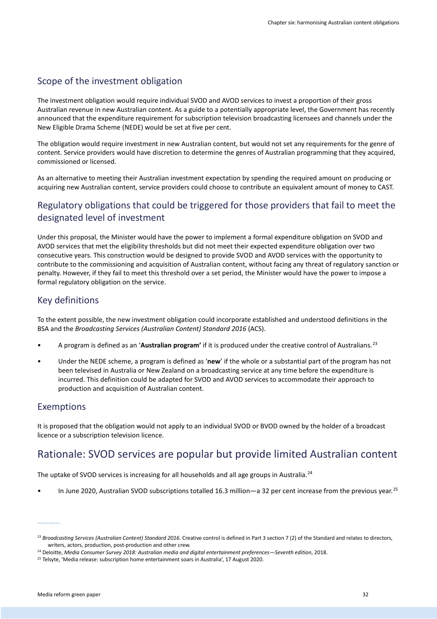#### Scope of the investment obligation

The investment obligation would require individual SVOD and AVOD services to invest a proportion of their gross Australian revenue in new Australian content. As a guide to a potentially appropriate level, the Government has recently announced that the expenditure requirement for subscription television broadcasting licensees and channels under the New Eligible Drama Scheme (NEDE) would be set at five per cent.

The obligation would require investment in new Australian content, but would not set any requirements for the genre of content. Service providers would have discretion to determine the genres of Australian programming that they acquired, commissioned or licensed.

As an alternative to meeting their Australian investment expectation by spending the required amount on producing or acquiring new Australian content, service providers could choose to contribute an equivalent amount of money to CAST.

### Regulatory obligations that could be triggered for those providers that fail to meet the designated level of investment

Under this proposal, the Minister would have the power to implement a formal expenditure obligation on SVOD and AVOD services that met the eligibility thresholds but did not meet their expected expenditure obligation over two consecutive years. This construction would be designed to provide SVOD and AVOD services with the opportunity to contribute to the commissioning and acquisition of Australian content, without facing any threat of regulatory sanction or penalty. However, if they fail to meet this threshold over a set period, the Minister would have the power to impose a formal regulatory obligation on the service.

#### Key definitions

To the extent possible, the new investment obligation could incorporate established and understood definitions in the BSA and the *Broadcasting Services (Australian Content) Standard 2016* (ACS).

- A program is defined as an '**Australian program'** if it is produced under the creative control of Australians.[23](#page-31-0)
- Under the NEDE scheme, a program is defined as '**new**' if the whole or a substantial part of the program has not been televised in Australia or New Zealand on a broadcasting service at any time before the expenditure is incurred. This definition could be adapted for SVOD and AVOD services to accommodate their approach to production and acquisition of Australian content.

#### Exemptions

It is proposed that the obligation would not apply to an individual SVOD or BVOD owned by the holder of a broadcast licence or a subscription television licence.

## Rationale: SVOD services are popular but provide limited Australian content

The uptake of SVOD services is increasing for all households and all age groups in Australia.<sup>[24](#page-31-1)</sup>

In June 2020, Australian SVOD subscriptions totalled 16.3 million—a 32 per cent increase from the previous year.<sup>[25](#page-31-2)</sup>

<span id="page-31-0"></span><sup>&</sup>lt;sup>23</sup> Broadcasting Services (Australian Content) Standard 2016. Creative control is defined in Part 3 section 7 (2) of the Standard and relates to directors,

<span id="page-31-1"></span>writers, actors, production, post-production and other crew.<br><sup>24</sup> Deloitte, *Media Consumer Survey 2018: Australian media and digital entertainment preferences—Seventh edition, 2018.<br><sup>25</sup> Telsyte, 'Media release: subscript* 

<span id="page-31-2"></span>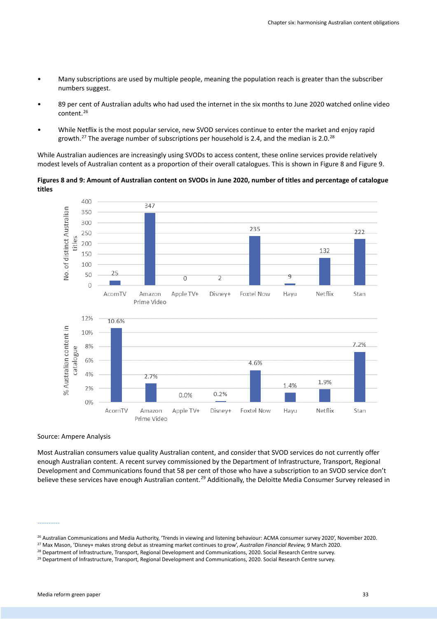- Many subscriptions are used by multiple people, meaning the population reach is greater than the subscriber numbers suggest.
- 89 per cent of Australian adults who had used the internet in the six months to June 2020 watched online video content.[26](#page-32-0)
- While Netflix is the most popular service, new SVOD services continue to enter the market and enjoy rapid growth.<sup>[27](#page-32-1)</sup> The average number of subscriptions per household is 2.4, and the median is 2.0.<sup>[28](#page-32-2)</sup>

While Australian audiences are increasingly using SVODs to access content, these online services provide relatively modest levels of Australian content as a proportion of their overall catalogues. This is shown in Figure 8 and Figure 9.

**Figures 8 and 9: Amount of Australian content on SVODs in June 2020, number of titles and percentage of catalogue titles**



#### Source: Ampere Analysis

Most Australian consumers value quality Australian content, and consider that SVOD services do not currently offer enough Australian content. A recent survey commissioned by the Department of Infrastructure, Transport, Regional Development and Communications found that 58 per cent of those who have a subscription to an SVOD service don't believe these services have enough Australian content.<sup>[29](#page-32-3)</sup> Additionally, the Deloitte Media Consumer Survey released in

<span id="page-32-1"></span><span id="page-32-0"></span><sup>&</sup>lt;sup>26</sup> Australian Communications and Media Authority, 'Trends in viewing and listening behaviour: ACMA consumer survey 2020', November 2020.<br><sup>27</sup> Max Mason, 'Disney+ makes strong debut as streaming market continues to grow',

<span id="page-32-2"></span>

<span id="page-32-3"></span>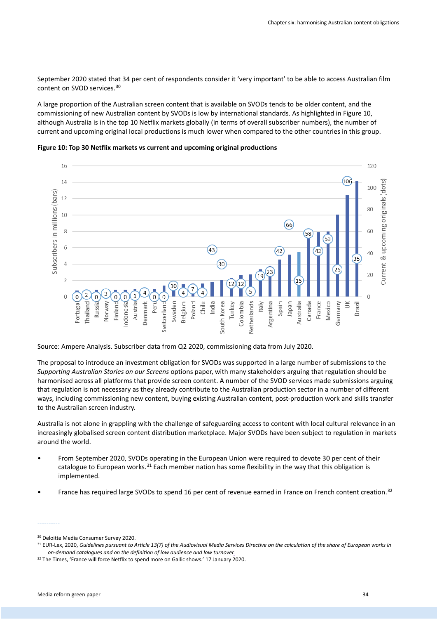September 2020 stated that 34 per cent of respondents consider it 'very important' to be able to access Australian film content on SVOD services.<sup>[30](#page-33-0)</sup>

A large proportion of the Australian screen content that is available on SVODs tends to be older content, and the commissioning of new Australian content by SVODs is low by international standards. As highlighted in Figure 10, although Australia is in the top 10 Netflix markets globally (in terms of overall subscriber numbers), the number of current and upcoming original local productions is much lower when compared to the other countries in this group.



**Figure 10: Top 30 Netflix markets vs current and upcoming original productions**

Source: Ampere Analysis. Subscriber data from Q2 2020, commissioning data from July 2020.

The proposal to introduce an investment obligation for SVODs was supported in a large number of submissions to the *Supporting Australian Stories on our Screens* options paper, with many stakeholders arguing that regulation should be harmonised across all platforms that provide screen content. A number of the SVOD services made submissions arguing that regulation is not necessary as they already contribute to the Australian production sector in a number of different ways, including commissioning new content, buying existing Australian content, post-production work and skills transfer to the Australian screen industry.

Australia is not alone in grappling with the challenge of safeguarding access to content with local cultural relevance in an increasingly globalised screen content distribution marketplace. Major SVODs have been subject to regulation in markets around the world.

- From September 2020, SVODs operating in the European Union were required to devote 30 per cent of their catalogue to European works.<sup>31</sup> Each member nation has some flexibility in the way that this obligation is implemented.
- France has required large SVODs to spend 16 per cent of revenue earned in France on French content creation.<sup>32</sup>

<span id="page-33-1"></span><span id="page-33-0"></span><sup>&</sup>lt;sup>30</sup> Deloitte Media Consumer Survey 2020.<br><sup>31</sup> EUR-Lex, 2020, *Guidelines pursuant to Article 13(7) of the Audiovisual Media Services Directive on the calculation of the share of European works in on-demand catalogues and on the definition of low audience and low turnover.*

<span id="page-33-2"></span><sup>32</sup> The Times, 'France will force Netflix to spend more on Gallic shows.' 17 January 2020.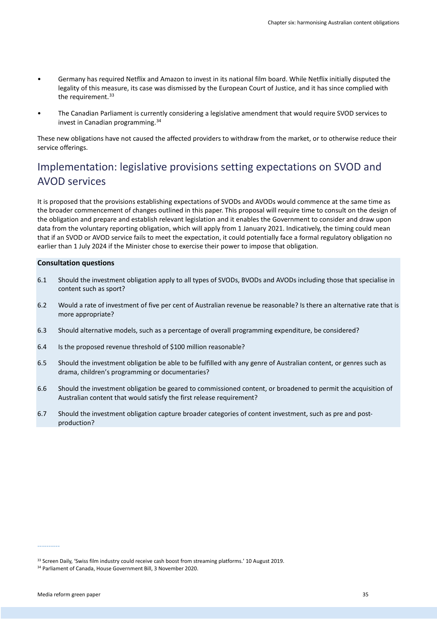- Germany has required Netflix and Amazon to invest in its national film board. While Netflix initially disputed the legality of this measure, its case was dismissed by the European Court of Justice, and it has since complied with the requirement.  $33$
- The Canadian Parliament is currently considering a legislative amendment that would require SVOD services to invest in Canadian programming.[34](#page-34-1)

These new obligations have not caused the affected providers to withdraw from the market, or to otherwise reduce their service offerings.

## Implementation: legislative provisions setting expectations on SVOD and AVOD services

It is proposed that the provisions establishing expectations of SVODs and AVODs would commence at the same time as the broader commencement of changes outlined in this paper. This proposal will require time to consult on the design of the obligation and prepare and establish relevant legislation and it enables the Government to consider and draw upon data from the voluntary reporting obligation, which will apply from 1 January 2021. Indicatively, the timing could mean that if an SVOD or AVOD service fails to meet the expectation, it could potentially face a formal regulatory obligation no earlier than 1 July 2024 if the Minister chose to exercise their power to impose that obligation.

#### **Consultation questions**

- 6.1 Should the investment obligation apply to all types of SVODs, BVODs and AVODs including those that specialise in content such as sport?
- 6.2 Would a rate of investment of five per cent of Australian revenue be reasonable? Is there an alternative rate that is more appropriate?
- 6.3 Should alternative models, such as a percentage of overall programming expenditure, be considered?
- 6.4 Is the proposed revenue threshold of \$100 million reasonable?
- 6.5 Should the investment obligation be able to be fulfilled with any genre of Australian content, or genres such as drama, children's programming or documentaries?
- 6.6 Should the investment obligation be geared to commissioned content, or broadened to permit the acquisition of Australian content that would satisfy the first release requirement?
- 6.7 Should the investment obligation capture broader categories of content investment, such as pre and postproduction?

<span id="page-34-0"></span><sup>&</sup>lt;sup>33</sup> Screen Daily, 'Swiss film industry could receive cash boost from streaming platforms.' 10 August 2019.<br><sup>34</sup> Parliament of Canada, House Government Bill, 3 November 2020.

<span id="page-34-1"></span>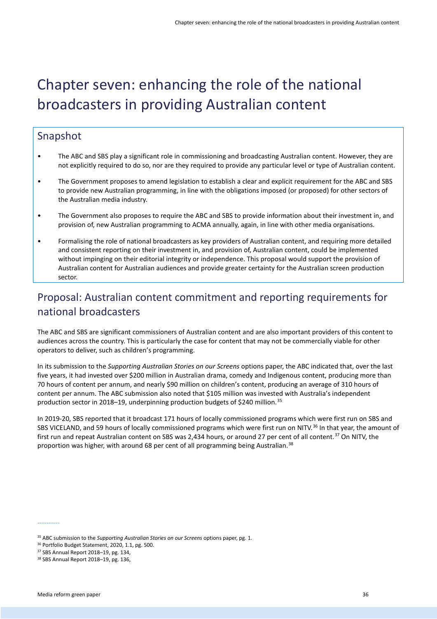# <span id="page-35-0"></span>Chapter seven: enhancing the role of the national broadcasters in providing Australian content

### Snapshot

- The ABC and SBS play a significant role in commissioning and broadcasting Australian content. However, they are not explicitly required to do so, nor are they required to provide any particular level or type of Australian content.
- The Government proposes to amend legislation to establish a clear and explicit requirement for the ABC and SBS to provide new Australian programming, in line with the obligations imposed (or proposed) for other sectors of the Australian media industry.
- The Government also proposes to require the ABC and SBS to provide information about their investment in, and provision of, new Australian programming to ACMA annually, again, in line with other media organisations.
- Formalising the role of national broadcasters as key providers of Australian content, and requiring more detailed and consistent reporting on their investment in, and provision of, Australian content, could be implemented without impinging on their editorial integrity or independence. This proposal would support the provision of Australian content for Australian audiences and provide greater certainty for the Australian screen production sector.

## Proposal: Australian content commitment and reporting requirements for national broadcasters

The ABC and SBS are significant commissioners of Australian content and are also important providers of this content to audiences across the country. This is particularly the case for content that may not be commercially viable for other operators to deliver, such as children's programming.

In its submission to the *Supporting Australian Stories on our Screens* options paper, the ABC indicated that, over the last five years, it had invested over \$200 million in Australian drama, comedy and Indigenous content, producing more than 70 hours of content per annum, and nearly \$90 million on children's content, producing an average of 310 hours of content per annum. The ABC submission also noted that \$105 million was invested with Australia's independent production sector in 2018–19, underpinning production budgets of \$240 million.<sup>[35](#page-35-1)</sup>

In 2019-20, SBS reported that it broadcast 171 hours of locally commissioned programs which were first run on SBS and SBS VICELAND, and 59 hours of locally commissioned programs which were first run on NITV.<sup>[36](#page-35-2)</sup> In that year, the amount of first run and repeat Australian content on SBS was 2,434 hours, or around 27 per cent of all content.<sup>[37](#page-35-3)</sup> On NITV, the proportion was higher, with around 68 per cent of all programming being Australian.<sup>38</sup>

<span id="page-35-2"></span><span id="page-35-1"></span><sup>&</sup>lt;sup>35</sup> ABC submission to the *Supporting Australian Stories on our Screens* options paper, pg. 1.<br><sup>36</sup> Portfolio Budget Statement, 2020, 1.1, pg. 500.<br><sup>37</sup> SBS Annual Report 2018–19, pg. 134,<br><sup>38</sup> SBS Annual Report 2018–19,

<span id="page-35-3"></span>

<span id="page-35-4"></span>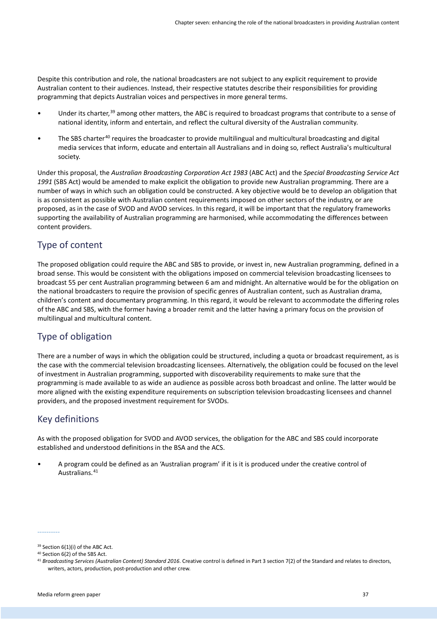Despite this contribution and role, the national broadcasters are not subject to any explicit requirement to provide Australian content to their audiences. Instead, their respective statutes describe their responsibilities for providing programming that depicts Australian voices and perspectives in more general terms.

- Under its charter,<sup>[39](#page-36-0)</sup> among other matters, the ABC is required to broadcast programs that contribute to a sense of national identity, inform and entertain, and reflect the cultural diversity of the Australian community.
- The SBS charter<sup>[40](#page-36-1)</sup> requires the broadcaster to provide multilingual and multicultural broadcasting and digital media services that inform, educate and entertain all Australians and in doing so, reflect Australia's multicultural society.

Under this proposal, the *Australian Broadcasting Corporation Act 1983* (ABC Act) and the *Special Broadcasting Service Act 1991* (SBS Act) would be amended to make explicit the obligation to provide new Australian programming. There are a number of ways in which such an obligation could be constructed. A key objective would be to develop an obligation that is as consistent as possible with Australian content requirements imposed on other sectors of the industry, or are proposed, as in the case of SVOD and AVOD services. In this regard, it will be important that the regulatory frameworks supporting the availability of Australian programming are harmonised, while accommodating the differences between content providers.

#### Type of content

The proposed obligation could require the ABC and SBS to provide, or invest in, new Australian programming, defined in a broad sense. This would be consistent with the obligations imposed on commercial television broadcasting licensees to broadcast 55 per cent Australian programming between 6 am and midnight. An alternative would be for the obligation on the national broadcasters to require the provision of specific genres of Australian content, such as Australian drama, children's content and documentary programming. In this regard, it would be relevant to accommodate the differing roles of the ABC and SBS, with the former having a broader remit and the latter having a primary focus on the provision of multilingual and multicultural content.

#### Type of obligation

There are a number of ways in which the obligation could be structured, including a quota or broadcast requirement, as is the case with the commercial television broadcasting licensees. Alternatively, the obligation could be focused on the level of investment in Australian programming, supported with discoverability requirements to make sure that the programming is made available to as wide an audience as possible across both broadcast and online. The latter would be more aligned with the existing expenditure requirements on subscription television broadcasting licensees and channel providers, and the proposed investment requirement for SVODs.

#### Key definitions

As with the proposed obligation for SVOD and AVOD services, the obligation for the ABC and SBS could incorporate established and understood definitions in the BSA and the ACS.

• A program could be defined as an 'Australian program' if it is it is produced under the creative control of Australians.[41](#page-36-2)

<span id="page-36-0"></span> $39$  Section 6(1)(i) of the ABC Act.<br> $40$  Section 6(2) of the SBS Act.

<span id="page-36-1"></span>

<span id="page-36-2"></span><sup>41</sup> *Broadcasting Services (Australian Content) Standard 2016*. Creative control is defined in Part 3 section 7(2) of the Standard and relates to directors, writers, actors, production, post-production and other crew.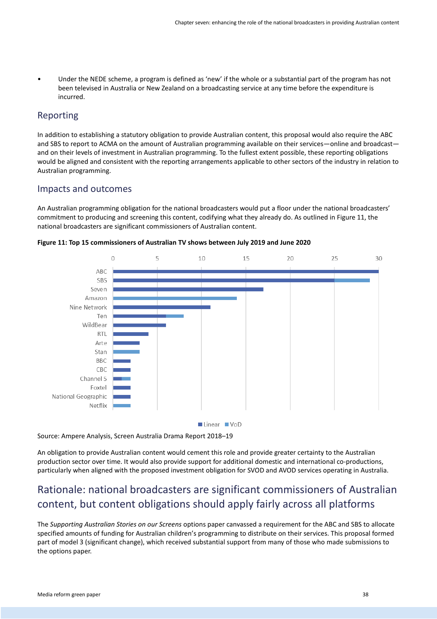• Under the NEDE scheme, a program is defined as 'new' if the whole or a substantial part of the program has not been televised in Australia or New Zealand on a broadcasting service at any time before the expenditure is incurred.

#### Reporting

In addition to establishing a statutory obligation to provide Australian content, this proposal would also require the ABC and SBS to report to ACMA on the amount of Australian programming available on their services—online and broadcast and on their levels of investment in Australian programming. To the fullest extent possible, these reporting obligations would be aligned and consistent with the reporting arrangements applicable to other sectors of the industry in relation to Australian programming.

#### Impacts and outcomes

An Australian programming obligation for the national broadcasters would put a floor under the national broadcasters' commitment to producing and screening this content, codifying what they already do. As outlined in Figure 11, the national broadcasters are significant commissioners of Australian content.



**Figure 11: Top 15 commissioners of Australian TV shows between July 2019 and June 2020**

Source: Ampere Analysis, Screen Australia Drama Report 2018–19

An obligation to provide Australian content would cement this role and provide greater certainty to the Australian production sector over time. It would also provide support for additional domestic and international co-productions, particularly when aligned with the proposed investment obligation for SVOD and AVOD services operating in Australia.

## Rationale: national broadcasters are significant commissioners of Australian content, but content obligations should apply fairly across all platforms

The *Supporting Australian Stories on our Screens* options paper canvassed a requirement for the ABC and SBS to allocate specified amounts of funding for Australian children's programming to distribute on their services. This proposal formed part of model 3 (significant change), which received substantial support from many of those who made submissions to the options paper.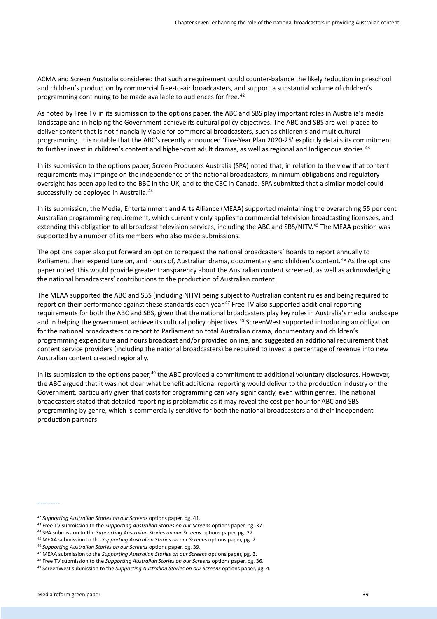ACMA and Screen Australia considered that such a requirement could counter-balance the likely reduction in preschool and children's production by commercial free-to-air broadcasters, and support a substantial volume of children's programming continuing to be made available to audiences for free.<sup>[42](#page-38-0)</sup>

As noted by Free TV in its submission to the options paper, the ABC and SBS play important roles in Australia's media landscape and in helping the Government achieve its cultural policy objectives. The ABC and SBS are well placed to deliver content that is not financially viable for commercial broadcasters, such as children's and multicultural programming. It is notable that the ABC's recently announced 'Five-Year Plan 2020-25' explicitly details its commitment to further invest in children's content and higher-cost adult dramas, as well as regional and Indigenous stories.<sup>[43](#page-38-1)</sup>

In its submission to the options paper, Screen Producers Australia (SPA) noted that, in relation to the view that content requirements may impinge on the independence of the national broadcasters, minimum obligations and regulatory oversight has been applied to the BBC in the UK, and to the CBC in Canada. SPA submitted that a similar model could successfully be deployed in Australia.<sup>[44](#page-38-2)</sup>

In its submission, the Media, Entertainment and Arts Alliance (MEAA) supported maintaining the overarching 55 per cent Australian programming requirement, which currently only applies to commercial television broadcasting licensees, and extending this obligation to all broadcast television services, including the ABC and SBS/NITV.<sup>[45](#page-38-3)</sup> The MEAA position was supported by a number of its members who also made submissions.

The options paper also put forward an option to request the national broadcasters' Boards to report annually to Parliament their expenditure on, and hours of, Australian drama, documentary and children's content.<sup>[46](#page-38-4)</sup> As the options paper noted, this would provide greater transparency about the Australian content screened, as well as acknowledging the national broadcasters' contributions to the production of Australian content.

The MEAA supported the ABC and SBS (including NITV) being subject to Australian content rules and being required to report on their performance against these standards each year.<sup>[47](#page-38-5)</sup> Free TV also supported additional reporting requirements for both the ABC and SBS, given that the national broadcasters play key roles in Australia's media landscape and in helping the government achieve its cultural policy objectives.<sup>[48](#page-38-6)</sup> ScreenWest supported introducing an obligation for the national broadcasters to report to Parliament on total Australian drama, documentary and children's programming expenditure and hours broadcast and/or provided online, and suggested an additional requirement that content service providers (including the national broadcasters) be required to invest a percentage of revenue into new Australian content created regionally.

In its submission to the options paper,<sup>[49](#page-38-7)</sup> the ABC provided a commitment to additional voluntary disclosures. However, the ABC argued that it was not clear what benefit additional reporting would deliver to the production industry or the Government, particularly given that costs for programming can vary significantly, even within genres. The national broadcasters stated that detailed reporting is problematic as it may reveal the cost per hour for ABC and SBS programming by genre, which is commercially sensitive for both the national broadcasters and their independent production partners.

<span id="page-38-0"></span><sup>42</sup> *Supporting Australian Stories on our Screens* options paper, pg. 41.

<span id="page-38-1"></span><sup>43</sup> Free TV submission to the *Supporting Australian Stories on our Screens* options paper, pg. 37.

<sup>44</sup> SPA submission to the *Supporting Australian Stories on our Screens* options paper, pg. 22.

<span id="page-38-3"></span><span id="page-38-2"></span><sup>45</sup> MEAA submission to the *Supporting Australian Stories on our Screens* options paper, pg. 2.

<span id="page-38-4"></span><sup>46</sup> *Supporting Australian Stories on our Screens* options paper, pg. 39.

<span id="page-38-6"></span><span id="page-38-5"></span><sup>47</sup> MEAA submission to the *Supporting Australian Stories on our Screens* options paper, pg. 3.

<sup>48</sup> Free TV submission to the *Supporting Australian Stories on our Screens* options paper, pg. 36.

<span id="page-38-7"></span><sup>49</sup> ScreenWest submission to the *Supporting Australian Stories on our Screens* options paper, pg. 4.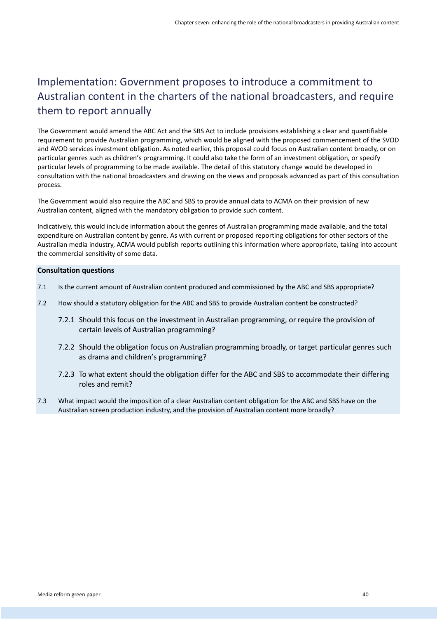## Implementation: Government proposes to introduce a commitment to Australian content in the charters of the national broadcasters, and require them to report annually

The Government would amend the ABC Act and the SBS Act to include provisions establishing a clear and quantifiable requirement to provide Australian programming, which would be aligned with the proposed commencement of the SVOD and AVOD services investment obligation. As noted earlier, this proposal could focus on Australian content broadly, or on particular genres such as children's programming. It could also take the form of an investment obligation, or specify particular levels of programming to be made available. The detail of this statutory change would be developed in consultation with the national broadcasters and drawing on the views and proposals advanced as part of this consultation process.

The Government would also require the ABC and SBS to provide annual data to ACMA on their provision of new Australian content, aligned with the mandatory obligation to provide such content.

Indicatively, this would include information about the genres of Australian programming made available, and the total expenditure on Australian content by genre. As with current or proposed reporting obligations for other sectors of the Australian media industry, ACMA would publish reports outlining this information where appropriate, taking into account the commercial sensitivity of some data.

#### **Consultation questions**

- 7.1 Is the current amount of Australian content produced and commissioned by the ABC and SBS appropriate?
- 7.2 How should a statutory obligation for the ABC and SBS to provide Australian content be constructed?
	- 7.2.1 Should this focus on the investment in Australian programming, or require the provision of certain levels of Australian programming?
	- 7.2.2 Should the obligation focus on Australian programming broadly, or target particular genres such as drama and children's programming?
	- 7.2.3 To what extent should the obligation differ for the ABC and SBS to accommodate their differing roles and remit?
- 7.3 What impact would the imposition of a clear Australian content obligation for the ABC and SBS have on the Australian screen production industry, and the provision of Australian content more broadly?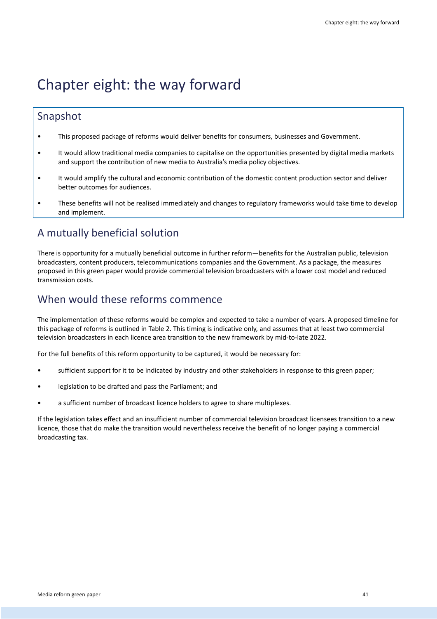# <span id="page-40-0"></span>Chapter eight: the way forward

### Snapshot

- This proposed package of reforms would deliver benefits for consumers, businesses and Government.
- It would allow traditional media companies to capitalise on the opportunities presented by digital media markets and support the contribution of new media to Australia's media policy objectives.
- It would amplify the cultural and economic contribution of the domestic content production sector and deliver better outcomes for audiences.
- These benefits will not be realised immediately and changes to regulatory frameworks would take time to develop and implement.

## A mutually beneficial solution

There is opportunity for a mutually beneficial outcome in further reform—benefits for the Australian public, television broadcasters, content producers, telecommunications companies and the Government. As a package, the measures proposed in this green paper would provide commercial television broadcasters with a lower cost model and reduced transmission costs.

## When would these reforms commence

The implementation of these reforms would be complex and expected to take a number of years. A proposed timeline for this package of reforms is outlined in Table 2. This timing is indicative only, and assumes that at least two commercial television broadcasters in each licence area transition to the new framework by mid-to-late 2022.

For the full benefits of this reform opportunity to be captured, it would be necessary for:

- sufficient support for it to be indicated by industry and other stakeholders in response to this green paper;
- legislation to be drafted and pass the Parliament; and
- a sufficient number of broadcast licence holders to agree to share multiplexes.

If the legislation takes effect and an insufficient number of commercial television broadcast licensees transition to a new licence, those that do make the transition would nevertheless receive the benefit of no longer paying a commercial broadcasting tax.